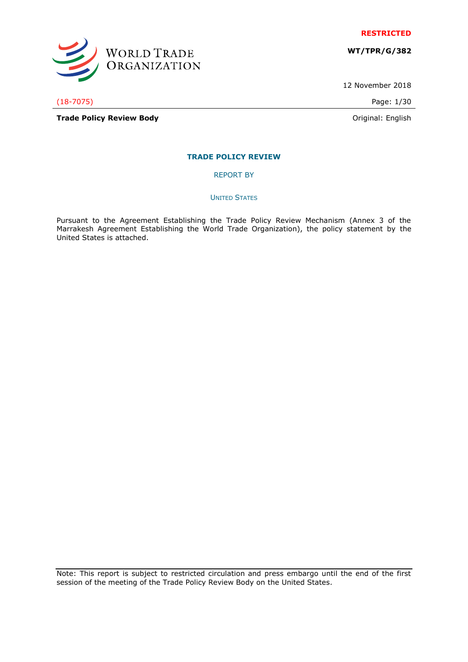

**WT/TPR/G/382**

12 November 2018

(18-7075) Page: 1/30

WORLD TRADE<br>ORGANIZATION

**Trade Policy Review Body Contract Contract Contract Contract Contract Contract Contract Contract Contract Contract Contract Contract Contract Contract Contract Contract Contract Contract Contract Contract Contract Contr** 

# **TRADE POLICY REVIEW**

REPORT BY

UNITED STATES

Pursuant to the Agreement Establishing the Trade Policy Review Mechanism (Annex 3 of the Marrakesh Agreement Establishing the World Trade Organization), the policy statement by the United States is attached.

Note: This report is subject to restricted circulation and press embargo until the end of the first session of the meeting of the Trade Policy Review Body on the United States.

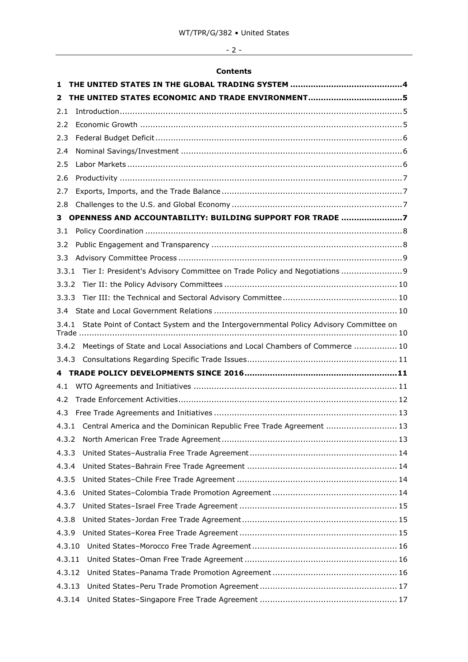# - 2 -

# **Contents**

| 1                                                                                             |  |                                                                                   |  |  |
|-----------------------------------------------------------------------------------------------|--|-----------------------------------------------------------------------------------|--|--|
| 2                                                                                             |  |                                                                                   |  |  |
| 2.1                                                                                           |  |                                                                                   |  |  |
| 2.2                                                                                           |  |                                                                                   |  |  |
| 2.3                                                                                           |  |                                                                                   |  |  |
| 2.4                                                                                           |  |                                                                                   |  |  |
| 2.5                                                                                           |  |                                                                                   |  |  |
| 2.6                                                                                           |  |                                                                                   |  |  |
| 2.7                                                                                           |  |                                                                                   |  |  |
| 2.8                                                                                           |  |                                                                                   |  |  |
| з                                                                                             |  | OPENNESS AND ACCOUNTABILITY: BUILDING SUPPORT FOR TRADE 7                         |  |  |
| 3.1                                                                                           |  |                                                                                   |  |  |
| 3.2                                                                                           |  |                                                                                   |  |  |
| 3.3                                                                                           |  |                                                                                   |  |  |
| 3.3.1                                                                                         |  | Tier I: President's Advisory Committee on Trade Policy and Negotiations  9        |  |  |
| 3.3.2                                                                                         |  |                                                                                   |  |  |
| 3.3.3                                                                                         |  |                                                                                   |  |  |
|                                                                                               |  |                                                                                   |  |  |
| State Point of Contact System and the Intergovernmental Policy Advisory Committee on<br>3.4.1 |  |                                                                                   |  |  |
|                                                                                               |  | 3.4.2 Meetings of State and Local Associations and Local Chambers of Commerce  10 |  |  |
|                                                                                               |  |                                                                                   |  |  |
|                                                                                               |  |                                                                                   |  |  |
| 4.1                                                                                           |  |                                                                                   |  |  |
| 4.2                                                                                           |  |                                                                                   |  |  |
| 4.3                                                                                           |  |                                                                                   |  |  |
|                                                                                               |  | 4.3.1 Central America and the Dominican Republic Free Trade Agreement  13         |  |  |
| 4.3.2                                                                                         |  |                                                                                   |  |  |
| 4.3.3                                                                                         |  |                                                                                   |  |  |
| 4.3.4                                                                                         |  |                                                                                   |  |  |
| 4.3.5                                                                                         |  |                                                                                   |  |  |
| 4.3.6                                                                                         |  |                                                                                   |  |  |
| 4.3.7                                                                                         |  |                                                                                   |  |  |
| 4.3.8                                                                                         |  |                                                                                   |  |  |
| 4.3.9                                                                                         |  |                                                                                   |  |  |
| 4.3.10                                                                                        |  |                                                                                   |  |  |
| 4.3.11                                                                                        |  |                                                                                   |  |  |
| 4.3.12                                                                                        |  |                                                                                   |  |  |
| 4.3.13                                                                                        |  |                                                                                   |  |  |
| 4.3.14                                                                                        |  |                                                                                   |  |  |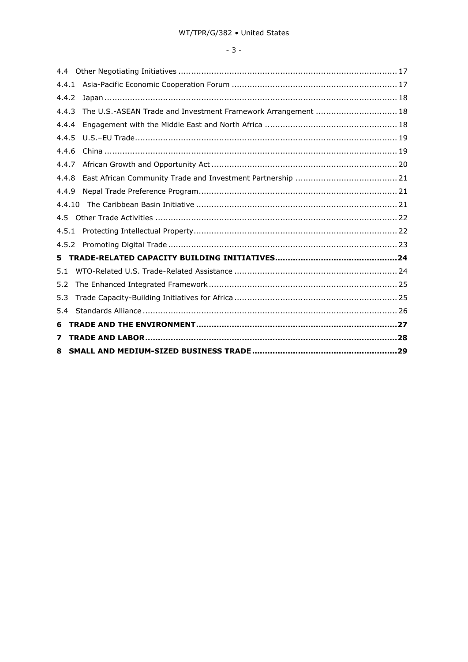# $-3-$

| 7      |                                                               |  |
|--------|---------------------------------------------------------------|--|
| 6      |                                                               |  |
| 5.4    |                                                               |  |
| 5.3    |                                                               |  |
| 5.2    |                                                               |  |
| 5.1    |                                                               |  |
| 5.     |                                                               |  |
| 4.5.2  |                                                               |  |
| 4.5.1  |                                                               |  |
| 4.5    |                                                               |  |
| 4.4.10 |                                                               |  |
| 4.4.9  |                                                               |  |
| 4.4.8  |                                                               |  |
| 4.4.7  |                                                               |  |
| 4.4.6  |                                                               |  |
| 4.4.5  |                                                               |  |
| 4.4.4  |                                                               |  |
| 4.4.3  | The U.S.-ASEAN Trade and Investment Framework Arrangement  18 |  |
| 4.4.2  |                                                               |  |
| 4.4.1  |                                                               |  |
| 4.4    |                                                               |  |
|        |                                                               |  |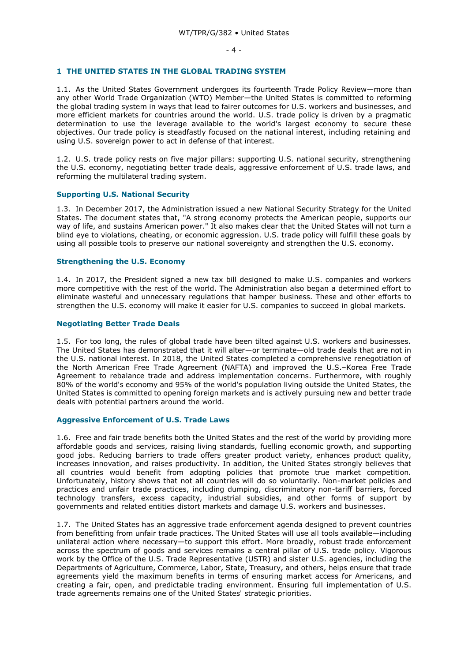#### <span id="page-3-0"></span>**1 THE UNITED STATES IN THE GLOBAL TRADING SYSTEM**

1.1. As the United States Government undergoes its fourteenth Trade Policy Review—more than any other World Trade Organization (WTO) Member—the United States is committed to reforming the global trading system in ways that lead to fairer outcomes for U.S. workers and businesses, and more efficient markets for countries around the world. U.S. trade policy is driven by a pragmatic determination to use the leverage available to the world's largest economy to secure these objectives. Our trade policy is steadfastly focused on the national interest, including retaining and using U.S. sovereign power to act in defense of that interest.

1.2. U.S. trade policy rests on five major pillars: supporting U.S. national security, strengthening the U.S. economy, negotiating better trade deals, aggressive enforcement of U.S. trade laws, and reforming the multilateral trading system.

#### **Supporting U.S. National Security**

1.3. In December 2017, the Administration issued a new National Security Strategy for the United States. The document states that, "A strong economy protects the American people, supports our way of life, and sustains American power." It also makes clear that the United States will not turn a blind eye to violations, cheating, or economic aggression. U.S. trade policy will fulfill these goals by using all possible tools to preserve our national sovereignty and strengthen the U.S. economy.

# **Strengthening the U.S. Economy**

1.4. In 2017, the President signed a new tax bill designed to make U.S. companies and workers more competitive with the rest of the world. The Administration also began a determined effort to eliminate wasteful and unnecessary regulations that hamper business. These and other efforts to strengthen the U.S. economy will make it easier for U.S. companies to succeed in global markets.

#### **Negotiating Better Trade Deals**

1.5. For too long, the rules of global trade have been tilted against U.S. workers and businesses. The United States has demonstrated that it will alter—or terminate—old trade deals that are not in the U.S. national interest. In 2018, the United States completed a comprehensive renegotiation of the North American Free Trade Agreement (NAFTA) and improved the U.S.–Korea Free Trade Agreement to rebalance trade and address implementation concerns. Furthermore, with roughly 80% of the world's economy and 95% of the world's population living outside the United States, the United States is committed to opening foreign markets and is actively pursuing new and better trade deals with potential partners around the world.

#### **Aggressive Enforcement of U.S. Trade Laws**

1.6. Free and fair trade benefits both the United States and the rest of the world by providing more affordable goods and services, raising living standards, fuelling economic growth, and supporting good jobs. Reducing barriers to trade offers greater product variety, enhances product quality, increases innovation, and raises productivity. In addition, the United States strongly believes that all countries would benefit from adopting policies that promote true market competition. Unfortunately, history shows that not all countries will do so voluntarily. Non-market policies and practices and unfair trade practices, including dumping, discriminatory non-tariff barriers, forced technology transfers, excess capacity, industrial subsidies, and other forms of support by governments and related entities distort markets and damage U.S. workers and businesses.

1.7. The United States has an aggressive trade enforcement agenda designed to prevent countries from benefitting from unfair trade practices. The United States will use all tools available—including unilateral action where necessary—to support this effort. More broadly, robust trade enforcement across the spectrum of goods and services remains a central pillar of U.S. trade policy. Vigorous work by the Office of the U.S. Trade Representative (USTR) and sister U.S. agencies, including the Departments of Agriculture, Commerce, Labor, State, Treasury, and others, helps ensure that trade agreements yield the maximum benefits in terms of ensuring market access for Americans, and creating a fair, open, and predictable trading environment. Ensuring full implementation of U.S. trade agreements remains one of the United States' strategic priorities.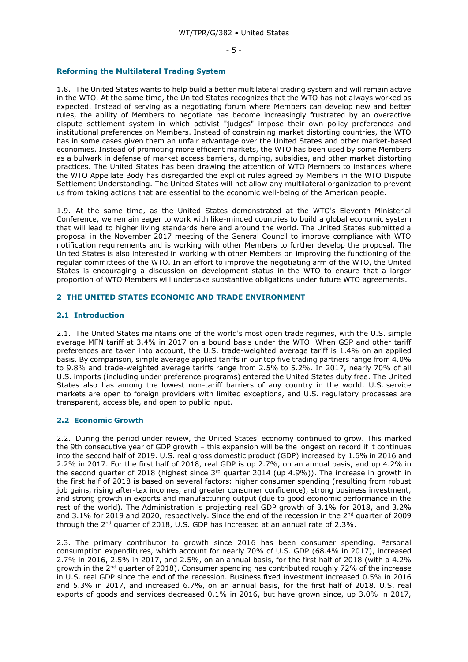#### **Reforming the Multilateral Trading System**

1.8. The United States wants to help build a better multilateral trading system and will remain active in the WTO. At the same time, the United States recognizes that the WTO has not always worked as expected. Instead of serving as a negotiating forum where Members can develop new and better rules, the ability of Members to negotiate has become increasingly frustrated by an overactive dispute settlement system in which activist "judges" impose their own policy preferences and institutional preferences on Members. Instead of constraining market distorting countries, the WTO has in some cases given them an unfair advantage over the United States and other market-based economies. Instead of promoting more efficient markets, the WTO has been used by some Members as a bulwark in defense of market access barriers, dumping, subsidies, and other market distorting practices. The United States has been drawing the attention of WTO Members to instances where the WTO Appellate Body has disregarded the explicit rules agreed by Members in the WTO Dispute Settlement Understanding. The United States will not allow any multilateral organization to prevent us from taking actions that are essential to the economic well-being of the American people.

1.9. At the same time, as the United States demonstrated at the WTO's Eleventh Ministerial Conference, we remain eager to work with like-minded countries to build a global economic system that will lead to higher living standards here and around the world. The United States submitted a proposal in the November 2017 meeting of the General Council to improve compliance with WTO notification requirements and is working with other Members to further develop the proposal. The United States is also interested in working with other Members on improving the functioning of the regular committees of the WTO. In an effort to improve the negotiating arm of the WTO, the United States is encouraging a discussion on development status in the WTO to ensure that a larger proportion of WTO Members will undertake substantive obligations under future WTO agreements.

#### <span id="page-4-0"></span>**2 THE UNITED STATES ECONOMIC AND TRADE ENVIRONMENT**

#### <span id="page-4-1"></span>**2.1 Introduction**

2.1. The United States maintains one of the world's most open trade regimes, with the U.S. simple average MFN tariff at 3.4% in 2017 on a bound basis under the WTO. When GSP and other tariff preferences are taken into account, the U.S. trade-weighted average tariff is 1.4% on an applied basis. By comparison, simple average applied tariffs in our top five trading partners range from 4.0% to 9.8% and trade-weighted average tariffs range from 2.5% to 5.2%. In 2017, nearly 70% of all U.S. imports (including under preference programs) entered the United States duty free. The United States also has among the lowest non-tariff barriers of any country in the world. U.S. service markets are open to foreign providers with limited exceptions, and U.S. regulatory processes are transparent, accessible, and open to public input.

# <span id="page-4-2"></span>**2.2 Economic Growth**

2.2. During the period under review, the United States' economy continued to grow. This marked the 9th consecutive year of GDP growth – this expansion will be the longest on record if it continues into the second half of 2019. U.S. real gross domestic product (GDP) increased by 1.6% in 2016 and 2.2% in 2017. For the first half of 2018, real GDP is up 2.7%, on an annual basis, and up 4.2% in the second quarter of 2018 (highest since  $3<sup>rd</sup>$  quarter 2014 (up 4.9%)). The increase in growth in the first half of 2018 is based on several factors: higher consumer spending (resulting from robust job gains, rising after-tax incomes, and greater consumer confidence), strong business investment, and strong growth in exports and manufacturing output (due to good economic performance in the rest of the world). The Administration is projecting real GDP growth of 3.1% for 2018, and 3.2% and 3.1% for 2019 and 2020, respectively. Since the end of the recession in the 2<sup>nd</sup> quarter of 2009 through the  $2^{nd}$  quarter of 2018, U.S. GDP has increased at an annual rate of 2.3%.

2.3. The primary contributor to growth since 2016 has been consumer spending. Personal consumption expenditures, which account for nearly 70% of U.S. GDP (68.4% in 2017), increased 2.7% in 2016, 2.5% in 2017, and 2.5%, on an annual basis, for the first half of 2018 (with a 4.2% growth in the  $2<sup>nd</sup>$  quarter of 2018). Consumer spending has contributed roughly 72% of the increase in U.S. real GDP since the end of the recession. Business fixed investment increased 0.5% in 2016 and 5.3% in 2017, and increased 6.7%, on an annual basis, for the first half of 2018. U.S. real exports of goods and services decreased 0.1% in 2016, but have grown since, up 3.0% in 2017,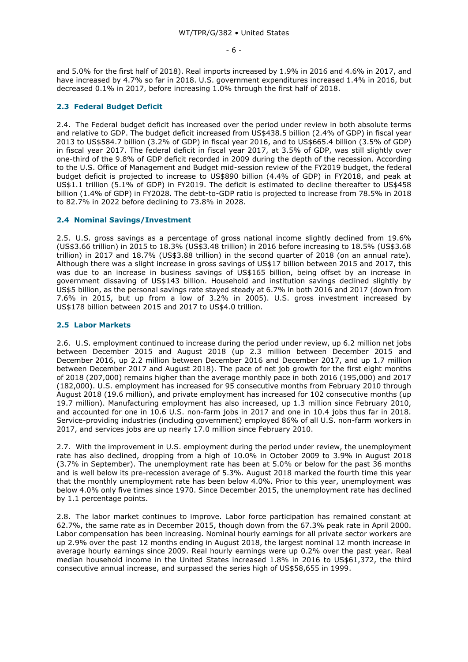and 5.0% for the first half of 2018). Real imports increased by 1.9% in 2016 and 4.6% in 2017, and have increased by 4.7% so far in 2018. U.S. government expenditures increased 1.4% in 2016, but decreased 0.1% in 2017, before increasing 1.0% through the first half of 2018.

# <span id="page-5-0"></span>**2.3 Federal Budget Deficit**

2.4. The Federal budget deficit has increased over the period under review in both absolute terms and relative to GDP. The budget deficit increased from US\$438.5 billion (2.4% of GDP) in fiscal year 2013 to US\$584.7 billion (3.2% of GDP) in fiscal year 2016, and to US\$665.4 billion (3.5% of GDP) in fiscal year 2017. The federal deficit in fiscal year 2017, at 3.5% of GDP, was still slightly over one-third of the 9.8% of GDP deficit recorded in 2009 during the depth of the recession. According to the U.S. Office of Management and Budget mid-session review of the FY2019 budget, the federal budget deficit is projected to increase to US\$890 billion (4.4% of GDP) in FY2018, and peak at US\$1.1 trillion (5.1% of GDP) in FY2019. The deficit is estimated to decline thereafter to US\$458 billion (1.4% of GDP) in FY2028. The debt-to-GDP ratio is projected to increase from 78.5% in 2018 to 82.7% in 2022 before declining to 73.8% in 2028.

#### <span id="page-5-1"></span>**2.4 Nominal Savings/Investment**

2.5. U.S. gross savings as a percentage of gross national income slightly declined from 19.6% (US\$3.66 trillion) in 2015 to 18.3% (US\$3.48 trillion) in 2016 before increasing to 18.5% (US\$3.68 trillion) in 2017 and 18.7% (US\$3.88 trillion) in the second quarter of 2018 (on an annual rate). Although there was a slight increase in gross savings of US\$17 billion between 2015 and 2017, this was due to an increase in business savings of US\$165 billion, being offset by an increase in government dissaving of US\$143 billion. Household and institution savings declined slightly by US\$5 billion, as the personal savings rate stayed steady at 6.7% in both 2016 and 2017 (down from 7.6% in 2015, but up from a low of 3.2% in 2005). U.S. gross investment increased by US\$178 billion between 2015 and 2017 to US\$4.0 trillion.

#### <span id="page-5-2"></span>**2.5 Labor Markets**

2.6. U.S. employment continued to increase during the period under review, up 6.2 million net jobs between December 2015 and August 2018 (up 2.3 million between December 2015 and December 2016, up 2.2 million between December 2016 and December 2017, and up 1.7 million between December 2017 and August 2018). The pace of net job growth for the first eight months of 2018 (207,000) remains higher than the average monthly pace in both 2016 (195,000) and 2017 (182,000). U.S. employment has increased for 95 consecutive months from February 2010 through August 2018 (19.6 million), and private employment has increased for 102 consecutive months (up 19.7 million). Manufacturing employment has also increased, up 1.3 million since February 2010, and accounted for one in 10.6 U.S. non-farm jobs in 2017 and one in 10.4 jobs thus far in 2018. Service-providing industries (including government) employed 86% of all U.S. non-farm workers in 2017, and services jobs are up nearly 17.0 million since February 2010.

2.7. With the improvement in U.S. employment during the period under review, the unemployment rate has also declined, dropping from a high of 10.0% in October 2009 to 3.9% in August 2018 (3.7% in September). The unemployment rate has been at 5.0% or below for the past 36 months and is well below its pre-recession average of 5.3%. August 2018 marked the fourth time this year that the monthly unemployment rate has been below 4.0%. Prior to this year, unemployment was below 4.0% only five times since 1970. Since December 2015, the unemployment rate has declined by 1.1 percentage points.

2.8. The labor market continues to improve. Labor force participation has remained constant at 62.7%, the same rate as in December 2015, though down from the 67.3% peak rate in April 2000. Labor compensation has been increasing. Nominal hourly earnings for all private sector workers are up 2.9% over the past 12 months ending in August 2018, the largest nominal 12 month increase in average hourly earnings since 2009. Real hourly earnings were up 0.2% over the past year. Real median household income in the United States increased 1.8% in 2016 to US\$61,372, the third consecutive annual increase, and surpassed the series high of US\$58,655 in 1999.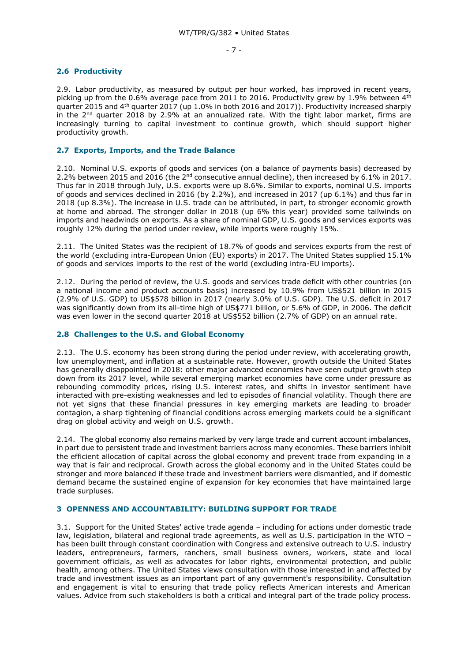#### <span id="page-6-0"></span>**2.6 Productivity**

2.9. Labor productivity, as measured by output per hour worked, has improved in recent years, picking up from the 0.6% average pace from 2011 to 2016. Productivity grew by 1.9% between  $4<sup>th</sup>$ quarter 2015 and 4th quarter 2017 (up 1.0% in both 2016 and 2017)). Productivity increased sharply in the  $2<sup>nd</sup>$  quarter 2018 by 2.9% at an annualized rate. With the tight labor market, firms are increasingly turning to capital investment to continue growth, which should support higher productivity growth.

# <span id="page-6-1"></span>**2.7 Exports, Imports, and the Trade Balance**

2.10. Nominal U.S. exports of goods and services (on a balance of payments basis) decreased by 2.2% between 2015 and 2016 (the 2nd consecutive annual decline), then increased by 6.1% in 2017. Thus far in 2018 through July, U.S. exports were up 8.6%. Similar to exports, nominal U.S. imports of goods and services declined in 2016 (by 2.2%), and increased in 2017 (up 6.1%) and thus far in 2018 (up 8.3%). The increase in U.S. trade can be attributed, in part, to stronger economic growth at home and abroad. The stronger dollar in 2018 (up 6% this year) provided some tailwinds on imports and headwinds on exports. As a share of nominal GDP, U.S. goods and services exports was roughly 12% during the period under review, while imports were roughly 15%.

2.11. The United States was the recipient of 18.7% of goods and services exports from the rest of the world (excluding intra-European Union (EU) exports) in 2017. The United States supplied 15.1% of goods and services imports to the rest of the world (excluding intra-EU imports).

2.12. During the period of review, the U.S. goods and services trade deficit with other countries (on a national income and product accounts basis) increased by 10.9% from US\$521 billion in 2015 (2.9% of U.S. GDP) to US\$578 billion in 2017 (nearly 3.0% of U.S. GDP). The U.S. deficit in 2017 was significantly down from its all-time high of US\$771 billion, or 5.6% of GDP, in 2006. The deficit was even lower in the second quarter 2018 at US\$552 billion (2.7% of GDP) on an annual rate.

# <span id="page-6-2"></span>**2.8 Challenges to the U.S. and Global Economy**

2.13. The U.S. economy has been strong during the period under review, with accelerating growth, low unemployment, and inflation at a sustainable rate. However, growth outside the United States has generally disappointed in 2018: other major advanced economies have seen output growth step down from its 2017 level, while several emerging market economies have come under pressure as rebounding commodity prices, rising U.S. interest rates, and shifts in investor sentiment have interacted with pre-existing weaknesses and led to episodes of financial volatility. Though there are not yet signs that these financial pressures in key emerging markets are leading to broader contagion, a sharp tightening of financial conditions across emerging markets could be a significant drag on global activity and weigh on U.S. growth.

2.14. The global economy also remains marked by very large trade and current account imbalances, in part due to persistent trade and investment barriers across many economies. These barriers inhibit the efficient allocation of capital across the global economy and prevent trade from expanding in a way that is fair and reciprocal. Growth across the global economy and in the United States could be stronger and more balanced if these trade and investment barriers were dismantled, and if domestic demand became the sustained engine of expansion for key economies that have maintained large trade surpluses.

#### <span id="page-6-3"></span>**3 OPENNESS AND ACCOUNTABILITY: BUILDING SUPPORT FOR TRADE**

3.1. Support for the United States' active trade agenda – including for actions under domestic trade law, legislation, bilateral and regional trade agreements, as well as U.S. participation in the WTO has been built through constant coordination with Congress and extensive outreach to U.S. industry leaders, entrepreneurs, farmers, ranchers, small business owners, workers, state and local government officials, as well as advocates for labor rights, environmental protection, and public health, among others. The United States views consultation with those interested in and affected by trade and investment issues as an important part of any government's responsibility. Consultation and engagement is vital to ensuring that trade policy reflects American interests and American values. Advice from such stakeholders is both a critical and integral part of the trade policy process.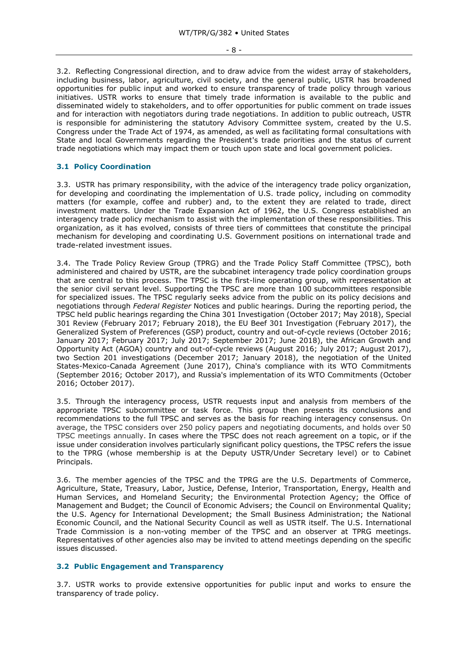- 8 -

3.2. Reflecting Congressional direction, and to draw advice from the widest array of stakeholders, including business, labor, agriculture, civil society, and the general public, USTR has broadened opportunities for public input and worked to ensure transparency of trade policy through various initiatives. USTR works to ensure that timely trade information is available to the public and disseminated widely to stakeholders, and to offer opportunities for public comment on trade issues and for interaction with negotiators during trade negotiations. In addition to public outreach, USTR is responsible for administering the statutory Advisory Committee system, created by the U.S. Congress under the Trade Act of 1974, as amended, as well as facilitating formal consultations with State and local Governments regarding the President's trade priorities and the status of current trade negotiations which may impact them or touch upon state and local government policies.

# <span id="page-7-0"></span>**3.1 Policy Coordination**

3.3. USTR has primary responsibility, with the advice of the interagency trade policy organization, for developing and coordinating the implementation of U.S. trade policy, including on commodity matters (for example, coffee and rubber) and, to the extent they are related to trade, direct investment matters. Under the Trade Expansion Act of 1962, the U.S. Congress established an interagency trade policy mechanism to assist with the implementation of these responsibilities. This organization, as it has evolved, consists of three tiers of committees that constitute the principal mechanism for developing and coordinating U.S. Government positions on international trade and trade-related investment issues.

3.4. The Trade Policy Review Group (TPRG) and the Trade Policy Staff Committee (TPSC), both administered and chaired by USTR, are the subcabinet interagency trade policy coordination groups that are central to this process. The TPSC is the first-line operating group, with representation at the senior civil servant level. Supporting the TPSC are more than 100 subcommittees responsible for specialized issues. The TPSC regularly seeks advice from the public on its policy decisions and negotiations through *Federal Register* Notices and public hearings. During the reporting period, the TPSC held public hearings regarding the China 301 Investigation (October 2017; May 2018), Special 301 Review (February 2017; February 2018), the EU Beef 301 Investigation (February 2017), the Generalized System of Preferences (GSP) product, country and out-of-cycle reviews (October 2016; January 2017; February 2017; July 2017; September 2017; June 2018), the African Growth and Opportunity Act (AGOA) country and out-of-cycle reviews (August 2016; July 2017; August 2017), two Section 201 investigations (December 2017; January 2018), the negotiation of the United States-Mexico-Canada Agreement (June 2017), China's compliance with its WTO Commitments (September 2016; October 2017), and Russia's implementation of its WTO Commitments (October 2016; October 2017).

3.5. Through the interagency process, USTR requests input and analysis from members of the appropriate TPSC subcommittee or task force. This group then presents its conclusions and recommendations to the full TPSC and serves as the basis for reaching interagency consensus. On average, the TPSC considers over 250 policy papers and negotiating documents, and holds over 50 TPSC meetings annually. In cases where the TPSC does not reach agreement on a topic, or if the issue under consideration involves particularly significant policy questions, the TPSC refers the issue to the TPRG (whose membership is at the Deputy USTR/Under Secretary level) or to Cabinet Principals.

3.6. The member agencies of the TPSC and the TPRG are the U.S. Departments of Commerce, Agriculture, State, Treasury, Labor, Justice, Defense, Interior, Transportation, Energy, Health and Human Services, and Homeland Security; the Environmental Protection Agency; the Office of Management and Budget; the Council of Economic Advisers; the Council on Environmental Quality; the U.S. Agency for International Development; the Small Business Administration; the National Economic Council, and the National Security Council as well as USTR itself. The U.S. International Trade Commission is a non-voting member of the TPSC and an observer at TPRG meetings. Representatives of other agencies also may be invited to attend meetings depending on the specific issues discussed.

# <span id="page-7-1"></span>**3.2 Public Engagement and Transparency**

3.7. USTR works to provide extensive opportunities for public input and works to ensure the transparency of trade policy.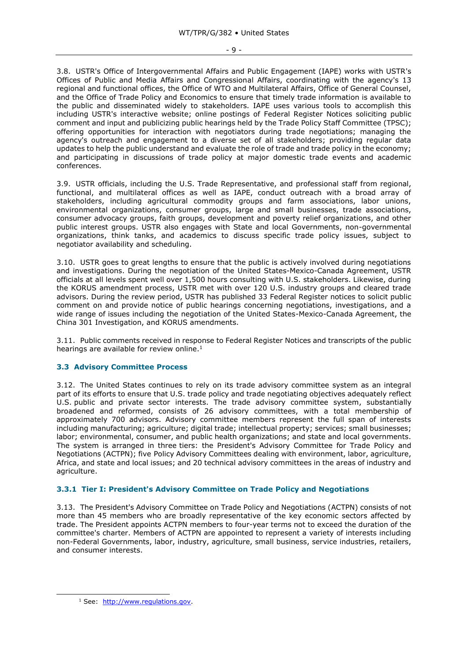3.8. USTR's Office of Intergovernmental Affairs and Public Engagement (IAPE) works with USTR's Offices of Public and Media Affairs and Congressional Affairs, coordinating with the agency's 13 regional and functional offices, the Office of WTO and Multilateral Affairs, Office of General Counsel, and the Office of Trade Policy and Economics to ensure that timely trade information is available to the public and disseminated widely to stakeholders. IAPE uses various tools to accomplish this including USTR's interactive website; online postings of Federal Register Notices soliciting public comment and input and publicizing public hearings held by the Trade Policy Staff Committee (TPSC); offering opportunities for interaction with negotiators during trade negotiations; managing the agency's outreach and engagement to a diverse set of all stakeholders; providing regular data updates to help the public understand and evaluate the role of trade and trade policy in the economy; and participating in discussions of trade policy at major domestic trade events and academic conferences.

3.9. USTR officials, including the U.S. Trade Representative, and professional staff from regional, functional, and multilateral offices as well as IAPE, conduct outreach with a broad array of stakeholders, including agricultural commodity groups and farm associations, labor unions, environmental organizations, consumer groups, large and small businesses, trade associations, consumer advocacy groups, faith groups, development and poverty relief organizations, and other public interest groups. USTR also engages with State and local Governments, non-governmental organizations, think tanks, and academics to discuss specific trade policy issues, subject to negotiator availability and scheduling.

3.10. USTR goes to great lengths to ensure that the public is actively involved during negotiations and investigations. During the negotiation of the United States-Mexico-Canada Agreement, USTR officials at all levels spent well over 1,500 hours consulting with U.S. stakeholders. Likewise, during the KORUS amendment process, USTR met with over 120 U.S. industry groups and cleared trade advisors. During the review period, USTR has published 33 Federal Register notices to solicit public comment on and provide notice of public hearings concerning negotiations, investigations, and a wide range of issues including the negotiation of the United States-Mexico-Canada Agreement, the China 301 Investigation, and KORUS amendments.

3.11. Public comments received in response to Federal Register Notices and transcripts of the public hearings are available for review online.<sup>1</sup>

# <span id="page-8-0"></span>**3.3 Advisory Committee Process**

3.12. The United States continues to rely on its trade advisory committee system as an integral part of its efforts to ensure that U.S. trade policy and trade negotiating objectives adequately reflect U.S. public and private sector interests. The trade advisory committee system, substantially broadened and reformed, consists of 26 advisory committees, with a total membership of approximately 700 advisors. Advisory committee members represent the full span of interests including manufacturing; agriculture; digital trade; intellectual property; services; small businesses; labor; environmental, consumer, and public health organizations; and state and local governments. The system is arranged in three tiers: the President's Advisory Committee for Trade Policy and Negotiations (ACTPN); five Policy Advisory Committees dealing with environment, labor, agriculture, Africa, and state and local issues; and 20 technical advisory committees in the areas of industry and agriculture.

# <span id="page-8-1"></span>**3.3.1 Tier I: President's Advisory Committee on Trade Policy and Negotiations**

3.13. The President's Advisory Committee on Trade Policy and Negotiations (ACTPN) consists of not more than 45 members who are broadly representative of the key economic sectors affected by trade. The President appoints ACTPN members to four-year terms not to exceed the duration of the committee's charter. Members of ACTPN are appointed to represent a variety of interests including non-Federal Governments, labor, industry, agriculture, small business, service industries, retailers, and consumer interests.

-

<sup>&</sup>lt;sup>1</sup> See: [http://www.regulations.gov.](http://www.regulations.gov/)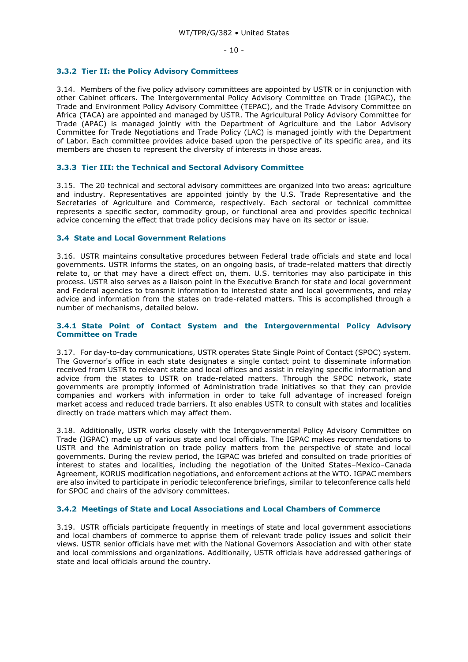#### <span id="page-9-0"></span>**3.3.2 Tier II: the Policy Advisory Committees**

3.14. Members of the five policy advisory committees are appointed by USTR or in conjunction with other Cabinet officers. The Intergovernmental Policy Advisory Committee on Trade (IGPAC), the Trade and Environment Policy Advisory Committee (TEPAC), and the Trade Advisory Committee on Africa (TACA) are appointed and managed by USTR. The Agricultural Policy Advisory Committee for Trade (APAC) is managed jointly with the Department of Agriculture and the Labor Advisory Committee for Trade Negotiations and Trade Policy (LAC) is managed jointly with the Department of Labor. Each committee provides advice based upon the perspective of its specific area, and its members are chosen to represent the diversity of interests in those areas.

# <span id="page-9-1"></span>**3.3.3 Tier III: the Technical and Sectoral Advisory Committee**

3.15. The 20 technical and sectoral advisory committees are organized into two areas: agriculture and industry. Representatives are appointed jointly by the U.S. Trade Representative and the Secretaries of Agriculture and Commerce, respectively. Each sectoral or technical committee represents a specific sector, commodity group, or functional area and provides specific technical advice concerning the effect that trade policy decisions may have on its sector or issue.

#### <span id="page-9-2"></span>**3.4 State and Local Government Relations**

3.16. USTR maintains consultative procedures between Federal trade officials and state and local governments. USTR informs the states, on an ongoing basis, of trade-related matters that directly relate to, or that may have a direct effect on, them. U.S. territories may also participate in this process. USTR also serves as a liaison point in the Executive Branch for state and local government and Federal agencies to transmit information to interested state and local governments, and relay advice and information from the states on trade-related matters. This is accomplished through a number of mechanisms, detailed below.

# <span id="page-9-3"></span>**3.4.1 State Point of Contact System and the Intergovernmental Policy Advisory Committee on Trade**

3.17. For day-to-day communications, USTR operates State Single Point of Contact (SPOC) system. The Governor's office in each state designates a single contact point to disseminate information received from USTR to relevant state and local offices and assist in relaying specific information and advice from the states to USTR on trade-related matters. Through the SPOC network, state governments are promptly informed of Administration trade initiatives so that they can provide companies and workers with information in order to take full advantage of increased foreign market access and reduced trade barriers. It also enables USTR to consult with states and localities directly on trade matters which may affect them.

3.18. Additionally, USTR works closely with the Intergovernmental Policy Advisory Committee on Trade (IGPAC) made up of various state and local officials. The IGPAC makes recommendations to USTR and the Administration on trade policy matters from the perspective of state and local governments. During the review period, the IGPAC was briefed and consulted on trade priorities of interest to states and localities, including the negotiation of the United States–Mexico–Canada Agreement, KORUS modification negotiations, and enforcement actions at the WTO. IGPAC members are also invited to participate in periodic teleconference briefings, similar to teleconference calls held for SPOC and chairs of the advisory committees.

# <span id="page-9-4"></span>**3.4.2 Meetings of State and Local Associations and Local Chambers of Commerce**

3.19. USTR officials participate frequently in meetings of state and local government associations and local chambers of commerce to apprise them of relevant trade policy issues and solicit their views. USTR senior officials have met with the National Governors Association and with other state and local commissions and organizations. Additionally, USTR officials have addressed gatherings of state and local officials around the country.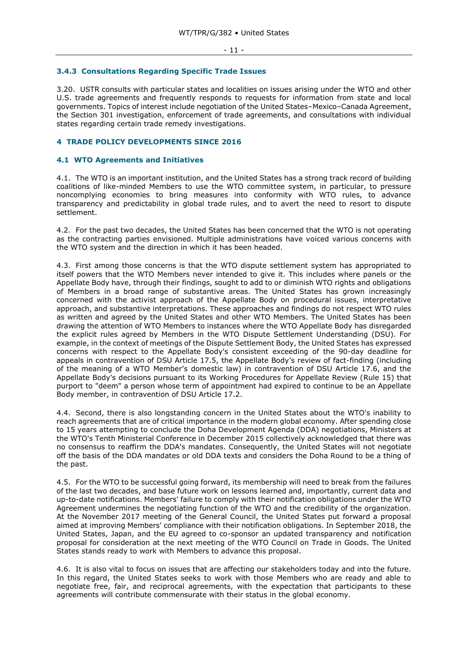#### <span id="page-10-0"></span>**3.4.3 Consultations Regarding Specific Trade Issues**

3.20. USTR consults with particular states and localities on issues arising under the WTO and other U.S. trade agreements and frequently responds to requests for information from state and local governments. Topics of interest include negotiation of the United States–Mexico–Canada Agreement, the Section 301 investigation, enforcement of trade agreements, and consultations with individual states regarding certain trade remedy investigations.

# <span id="page-10-1"></span>**4 TRADE POLICY DEVELOPMENTS SINCE 2016**

# <span id="page-10-2"></span>**4.1 WTO Agreements and Initiatives**

4.1. The WTO is an important institution, and the United States has a strong track record of building coalitions of like-minded Members to use the WTO committee system, in particular, to pressure noncomplying economies to bring measures into conformity with WTO rules, to advance transparency and predictability in global trade rules, and to avert the need to resort to dispute settlement.

4.2. For the past two decades, the United States has been concerned that the WTO is not operating as the contracting parties envisioned. Multiple administrations have voiced various concerns with the WTO system and the direction in which it has been headed.

4.3. First among those concerns is that the WTO dispute settlement system has appropriated to itself powers that the WTO Members never intended to give it. This includes where panels or the Appellate Body have, through their findings, sought to add to or diminish WTO rights and obligations of Members in a broad range of substantive areas. The United States has grown increasingly concerned with the activist approach of the Appellate Body on procedural issues, interpretative approach, and substantive interpretations. These approaches and findings do not respect WTO rules as written and agreed by the United States and other WTO Members. The United States has been drawing the attention of WTO Members to instances where the WTO Appellate Body has disregarded the explicit rules agreed by Members in the WTO Dispute Settlement Understanding (DSU). For example, in the context of meetings of the Dispute Settlement Body, the United States has expressed concerns with respect to the Appellate Body's consistent exceeding of the 90-day deadline for appeals in contravention of DSU Article 17.5, the Appellate Body's review of fact-finding (including of the meaning of a WTO Member's domestic law) in contravention of DSU Article 17.6, and the Appellate Body's decisions pursuant to its Working Procedures for Appellate Review (Rule 15) that purport to "deem" a person whose term of appointment had expired to continue to be an Appellate Body member, in contravention of DSU Article 17.2.

4.4. Second, there is also longstanding concern in the United States about the WTO's inability to reach agreements that are of critical importance in the modern global economy. After spending close to 15 years attempting to conclude the Doha Development Agenda (DDA) negotiations, Ministers at the WTO's Tenth Ministerial Conference in December 2015 collectively acknowledged that there was no consensus to reaffirm the DDA's mandates. Consequently, the United States will not negotiate off the basis of the DDA mandates or old DDA texts and considers the Doha Round to be a thing of the past.

4.5. For the WTO to be successful going forward, its membership will need to break from the failures of the last two decades, and base future work on lessons learned and, importantly, current data and up-to-date notifications. Members' failure to comply with their notification obligations under the WTO Agreement undermines the negotiating function of the WTO and the credibility of the organization. At the November 2017 meeting of the General Council, the United States put forward a proposal aimed at improving Members' compliance with their notification obligations. In September 2018, the United States, Japan, and the EU agreed to co-sponsor an updated transparency and notification proposal for consideration at the next meeting of the WTO Council on Trade in Goods. The United States stands ready to work with Members to advance this proposal.

4.6. It is also vital to focus on issues that are affecting our stakeholders today and into the future. In this regard, the United States seeks to work with those Members who are ready and able to negotiate free, fair, and reciprocal agreements, with the expectation that participants to these agreements will contribute commensurate with their status in the global economy.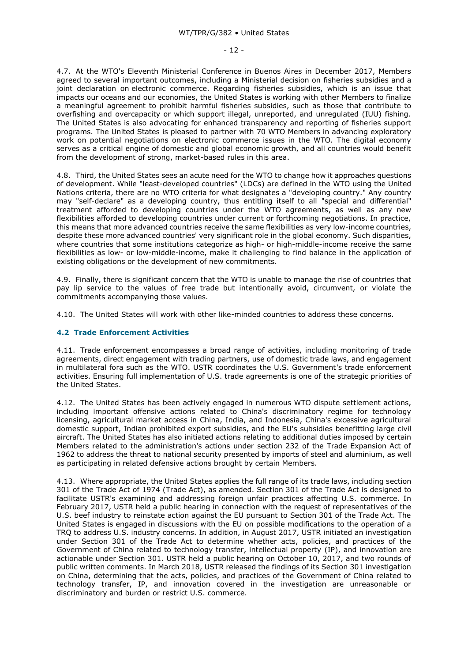4.7. At the WTO's Eleventh Ministerial Conference in Buenos Aires in December 2017, Members agreed to several important outcomes, including a Ministerial decision on fisheries subsidies and a joint declaration on electronic commerce. Regarding fisheries subsidies, which is an issue that impacts our oceans and our economies, the United States is working with other Members to finalize a meaningful agreement to prohibit harmful fisheries subsidies, such as those that contribute to overfishing and overcapacity or which support illegal, unreported, and unregulated (IUU) fishing. The United States is also advocating for enhanced transparency and reporting of fisheries support programs. The United States is pleased to partner with 70 WTO Members in advancing exploratory work on potential negotiations on electronic commerce issues in the WTO. The digital economy serves as a critical engine of domestic and global economic growth, and all countries would benefit from the development of strong, market-based rules in this area.

4.8. Third, the United States sees an acute need for the WTO to change how it approaches questions of development. While "least-developed countries" (LDCs) are defined in the WTO using the United Nations criteria, there are no WTO criteria for what designates a "developing country." Any country may "self-declare" as a developing country, thus entitling itself to all "special and differential" treatment afforded to developing countries under the WTO agreements, as well as any new flexibilities afforded to developing countries under current or forthcoming negotiations. In practice, this means that more advanced countries receive the same flexibilities as very low-income countries, despite these more advanced countries' very significant role in the global economy. Such disparities, where countries that some institutions categorize as high- or high-middle-income receive the same flexibilities as low- or low-middle-income, make it challenging to find balance in the application of existing obligations or the development of new commitments.

4.9. Finally, there is significant concern that the WTO is unable to manage the rise of countries that pay lip service to the values of free trade but intentionally avoid, circumvent, or violate the commitments accompanying those values.

4.10. The United States will work with other like-minded countries to address these concerns.

# <span id="page-11-0"></span>**4.2 Trade Enforcement Activities**

4.11. Trade enforcement encompasses a broad range of activities, including monitoring of trade agreements, direct engagement with trading partners, use of domestic trade laws, and engagement in multilateral fora such as the WTO. USTR coordinates the U.S. Government's trade enforcement activities. Ensuring full implementation of U.S. trade agreements is one of the strategic priorities of the United States.

4.12. The United States has been actively engaged in numerous WTO dispute settlement actions, including important offensive actions related to China's discriminatory regime for technology licensing, agricultural market access in China, India, and Indonesia, China's excessive agricultural domestic support, Indian prohibited export subsidies, and the EU's subsidies benefitting large civil aircraft. The United States has also initiated actions relating to additional duties imposed by certain Members related to the administration's actions under section 232 of the Trade Expansion Act of 1962 to address the threat to national security presented by imports of steel and aluminium, as well as participating in related defensive actions brought by certain Members.

4.13. Where appropriate, the United States applies the full range of its trade laws, including section 301 of the Trade Act of 1974 (Trade Act), as amended. Section 301 of the Trade Act is designed to facilitate USTR's examining and addressing foreign unfair practices affecting U.S. commerce. In February 2017, USTR held a public hearing in connection with the request of representatives of the U.S. beef industry to reinstate action against the EU pursuant to Section 301 of the Trade Act. The United States is engaged in discussions with the EU on possible modifications to the operation of a TRQ to address U.S. industry concerns. In addition, in August 2017, USTR initiated an investigation under Section 301 of the Trade Act to determine whether acts, policies, and practices of the Government of China related to technology transfer, intellectual property (IP), and innovation are actionable under Section 301. USTR held a public hearing on October 10, 2017, and two rounds of public written comments. In March 2018, USTR released the findings of its Section 301 investigation on China, determining that the acts, policies, and practices of the Government of China related to technology transfer, IP, and innovation covered in the investigation are unreasonable or discriminatory and burden or restrict U.S. commerce.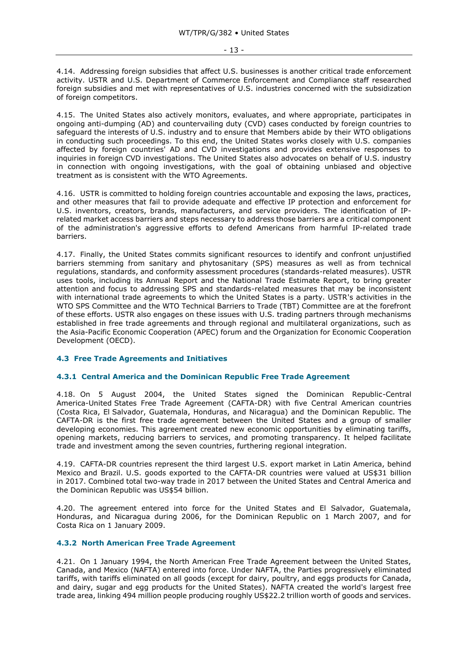4.14. Addressing foreign subsidies that affect U.S. businesses is another critical trade enforcement activity. USTR and U.S. Department of Commerce Enforcement and Compliance staff researched foreign subsidies and met with representatives of U.S. industries concerned with the subsidization of foreign competitors.

4.15. The United States also actively monitors, evaluates, and where appropriate, participates in ongoing anti-dumping (AD) and countervailing duty (CVD) cases conducted by foreign countries to safeguard the interests of U.S. industry and to ensure that Members abide by their WTO obligations in conducting such proceedings. To this end, the United States works closely with U.S. companies affected by foreign countries' AD and CVD investigations and provides extensive responses to inquiries in foreign CVD investigations. The United States also advocates on behalf of U.S. industry in connection with ongoing investigations, with the goal of obtaining unbiased and objective treatment as is consistent with the WTO Agreements.

4.16. USTR is committed to holding foreign countries accountable and exposing the laws, practices, and other measures that fail to provide adequate and effective IP protection and enforcement for U.S. inventors, creators, brands, manufacturers, and service providers. The identification of IPrelated market access barriers and steps necessary to address those barriers are a critical component of the administration's aggressive efforts to defend Americans from harmful IP-related trade barriers.

4.17. Finally, the United States commits significant resources to identify and confront unjustified barriers stemming from sanitary and phytosanitary (SPS) measures as well as from technical regulations, standards, and conformity assessment procedures (standards-related measures). USTR uses tools, including its Annual Report and the National Trade Estimate Report, to bring greater attention and focus to addressing SPS and standards-related measures that may be inconsistent with international trade agreements to which the United States is a party. USTR's activities in the WTO SPS Committee and the WTO Technical Barriers to Trade (TBT) Committee are at the forefront of these efforts. USTR also engages on these issues with U.S. trading partners through mechanisms established in free trade agreements and through regional and multilateral organizations, such as the Asia-Pacific Economic Cooperation (APEC) forum and the Organization for Economic Cooperation Development (OECD).

# <span id="page-12-0"></span>**4.3 Free Trade Agreements and Initiatives**

# <span id="page-12-1"></span>**4.3.1 Central America and the Dominican Republic Free Trade Agreement**

4.18. On 5 August 2004, the United States signed the Dominican Republic-Central America-United States Free Trade Agreement (CAFTA-DR) with five Central American countries (Costa Rica, El Salvador, Guatemala, Honduras, and Nicaragua) and the Dominican Republic. The CAFTA-DR is the first free trade agreement between the United States and a group of smaller developing economies. This agreement created new economic opportunities by eliminating tariffs, opening markets, reducing barriers to services, and promoting transparency. It helped facilitate trade and investment among the seven countries, furthering regional integration.

4.19. CAFTA-DR countries represent the third largest U.S. export market in Latin America, behind Mexico and Brazil. U.S. goods exported to the CAFTA-DR countries were valued at US\$31 billion in 2017. Combined total two-way trade in 2017 between the United States and Central America and the Dominican Republic was US\$54 billion.

4.20. The agreement entered into force for the United States and El Salvador, Guatemala, Honduras, and Nicaragua during 2006, for the Dominican Republic on 1 March 2007, and for Costa Rica on 1 January 2009.

#### <span id="page-12-2"></span>**4.3.2 North American Free Trade Agreement**

4.21. On 1 January 1994, the North American Free Trade Agreement between the United States, Canada, and Mexico (NAFTA) entered into force. Under NAFTA, the Parties progressively eliminated tariffs, with tariffs eliminated on all goods (except for dairy, poultry, and eggs products for Canada, and dairy, sugar and egg products for the United States). NAFTA created the world's largest free trade area, linking 494 million people producing roughly US\$22.2 trillion worth of goods and services.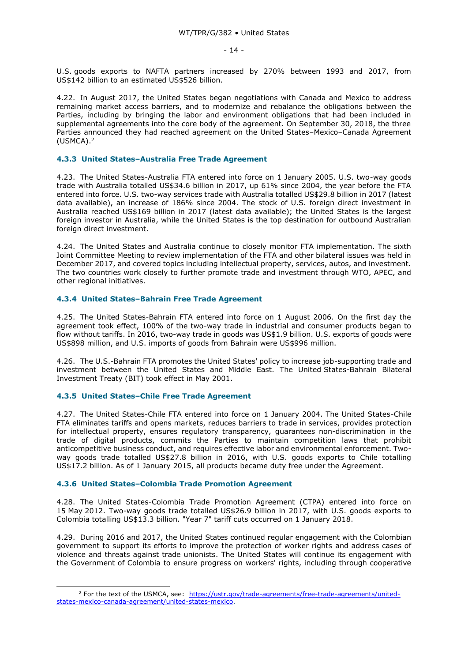U.S. goods exports to NAFTA partners increased by 270% between 1993 and 2017, from US\$142 billion to an estimated US\$526 billion.

4.22. In August 2017, the United States began negotiations with Canada and Mexico to address remaining market access barriers, and to modernize and rebalance the obligations between the Parties, including by bringing the labor and environment obligations that had been included in supplemental agreements into the core body of the agreement. On September 30, 2018, the three Parties announced they had reached agreement on the United States–Mexico–Canada Agreement (USMCA).<sup>2</sup>

# <span id="page-13-0"></span>**4.3.3 United States–Australia Free Trade Agreement**

4.23. The United States-Australia FTA entered into force on 1 January 2005. U.S. two-way goods trade with Australia totalled US\$34.6 billion in 2017, up 61% since 2004, the year before the FTA entered into force. U.S. two-way services trade with Australia totalled US\$29.8 billion in 2017 (latest data available), an increase of 186% since 2004. The stock of U.S. foreign direct investment in Australia reached US\$169 billion in 2017 (latest data available); the United States is the largest foreign investor in Australia, while the United States is the top destination for outbound Australian foreign direct investment.

4.24. The United States and Australia continue to closely monitor FTA implementation. The sixth Joint Committee Meeting to review implementation of the FTA and other bilateral issues was held in December 2017, and covered topics including intellectual property, services, autos, and investment. The two countries work closely to further promote trade and investment through WTO, APEC, and other regional initiatives.

# <span id="page-13-1"></span>**4.3.4 United States–Bahrain Free Trade Agreement**

4.25. The United States-Bahrain FTA entered into force on 1 August 2006. On the first day the agreement took effect, 100% of the two-way trade in industrial and consumer products began to flow without tariffs. In 2016, two-way trade in goods was US\$1.9 billion. U.S. exports of goods were US\$898 million, and U.S. imports of goods from Bahrain were US\$996 million.

4.26. The U.S.-Bahrain FTA promotes the United States' policy to increase job-supporting trade and investment between the United States and Middle East. The United States-Bahrain Bilateral Investment Treaty (BIT) took effect in May 2001.

#### <span id="page-13-2"></span>**4.3.5 United States–Chile Free Trade Agreement**

-

4.27. The United States-Chile FTA entered into force on 1 January 2004. The United States-Chile FTA eliminates tariffs and opens markets, reduces barriers to trade in services, provides protection for intellectual property, ensures regulatory transparency, guarantees non-discrimination in the trade of digital products, commits the Parties to maintain competition laws that prohibit anticompetitive business conduct, and requires effective labor and environmental enforcement. Twoway goods trade totalled US\$27.8 billion in 2016, with U.S. goods exports to Chile totalling US\$17.2 billion. As of 1 January 2015, all products became duty free under the Agreement.

#### <span id="page-13-3"></span>**4.3.6 United States–Colombia Trade Promotion Agreement**

4.28. The United States-Colombia Trade Promotion Agreement (CTPA) entered into force on 15 May 2012. Two-way goods trade totalled US\$26.9 billion in 2017, with U.S. goods exports to Colombia totalling US\$13.3 billion. "Year 7" tariff cuts occurred on 1 January 2018.

4.29. During 2016 and 2017, the United States continued regular engagement with the Colombian government to support its efforts to improve the protection of worker rights and address cases of violence and threats against trade unionists. The United States will continue its engagement with the Government of Colombia to ensure progress on workers' rights, including through cooperative

<sup>&</sup>lt;sup>2</sup> For the text of the USMCA, see: [https://ustr.gov/trade-agreements/free-trade-agreements/united](https://ustr.gov/trade-agreements/free-trade-agreements/united-states-mexico-canada-agreement/united-states-mexico)[states-mexico-canada-agreement/united-states-mexico.](https://ustr.gov/trade-agreements/free-trade-agreements/united-states-mexico-canada-agreement/united-states-mexico)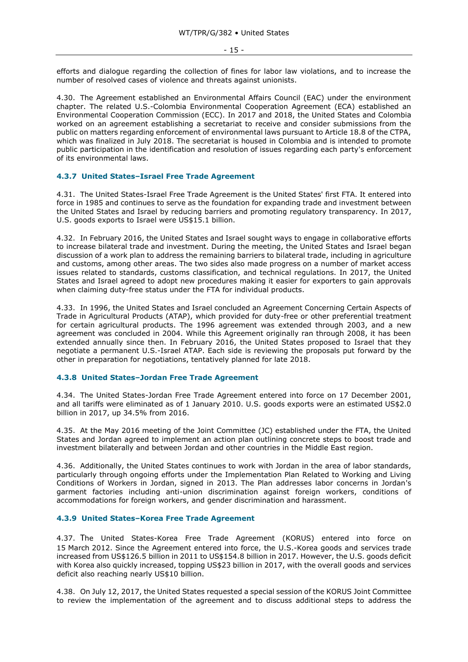efforts and dialogue regarding the collection of fines for labor law violations, and to increase the number of resolved cases of violence and threats against unionists.

4.30. The Agreement established an Environmental Affairs Council (EAC) under the environment chapter. The related U.S.-Colombia Environmental Cooperation Agreement (ECA) established an Environmental Cooperation Commission (ECC). In 2017 and 2018, the United States and Colombia worked on an agreement establishing a secretariat to receive and consider submissions from the public on matters regarding enforcement of environmental laws pursuant to Article 18.8 of the CTPA, which was finalized in July 2018. The secretariat is housed in Colombia and is intended to promote public participation in the identification and resolution of issues regarding each party's enforcement of its environmental laws.

# <span id="page-14-0"></span>**4.3.7 United States–Israel Free Trade Agreement**

4.31. The United States-Israel Free Trade Agreement is the United States' first FTA. It entered into force in 1985 and continues to serve as the foundation for expanding trade and investment between the United States and Israel by reducing barriers and promoting regulatory transparency. In 2017, U.S. goods exports to Israel were US\$15.1 billion.

4.32. In February 2016, the United States and Israel sought ways to engage in collaborative efforts to increase bilateral trade and investment. During the meeting, the United States and Israel began discussion of a work plan to address the remaining barriers to bilateral trade, including in agriculture and customs, among other areas. The two sides also made progress on a number of market access issues related to standards, customs classification, and technical regulations. In 2017, the United States and Israel agreed to adopt new procedures making it easier for exporters to gain approvals when claiming duty-free status under the FTA for individual products.

4.33. In 1996, the United States and Israel concluded an Agreement Concerning Certain Aspects of Trade in Agricultural Products (ATAP), which provided for duty-free or other preferential treatment for certain agricultural products. The 1996 agreement was extended through 2003, and a new agreement was concluded in 2004. While this Agreement originally ran through 2008, it has been extended annually since then. In February 2016, the United States proposed to Israel that they negotiate a permanent U.S.-Israel ATAP. Each side is reviewing the proposals put forward by the other in preparation for negotiations, tentatively planned for late 2018.

# <span id="page-14-1"></span>**4.3.8 United States–Jordan Free Trade Agreement**

4.34. The United States-Jordan Free Trade Agreement entered into force on 17 December 2001, and all tariffs were eliminated as of 1 January 2010. U.S. goods exports were an estimated US\$2.0 billion in 2017, up 34.5% from 2016.

4.35. At the May 2016 meeting of the Joint Committee (JC) established under the FTA, the United States and Jordan agreed to implement an action plan outlining concrete steps to boost trade and investment bilaterally and between Jordan and other countries in the Middle East region.

4.36. Additionally, the United States continues to work with Jordan in the area of labor standards, particularly through ongoing efforts under the Implementation Plan Related to Working and Living Conditions of Workers in Jordan, signed in 2013. The Plan addresses labor concerns in Jordan's garment factories including anti-union discrimination against foreign workers, conditions of accommodations for foreign workers, and gender discrimination and harassment.

#### <span id="page-14-2"></span>**4.3.9 United States–Korea Free Trade Agreement**

4.37. The United States-Korea Free Trade Agreement (KORUS) entered into force on 15 March 2012. Since the Agreement entered into force, the U.S.-Korea goods and services trade increased from US\$126.5 billion in 2011 to US\$154.8 billion in 2017. However, the U.S. goods deficit with Korea also quickly increased, topping US\$23 billion in 2017, with the overall goods and services deficit also reaching nearly US\$10 billion.

4.38. On July 12, 2017, the United States requested a special session of the KORUS Joint Committee to review the implementation of the agreement and to discuss additional steps to address the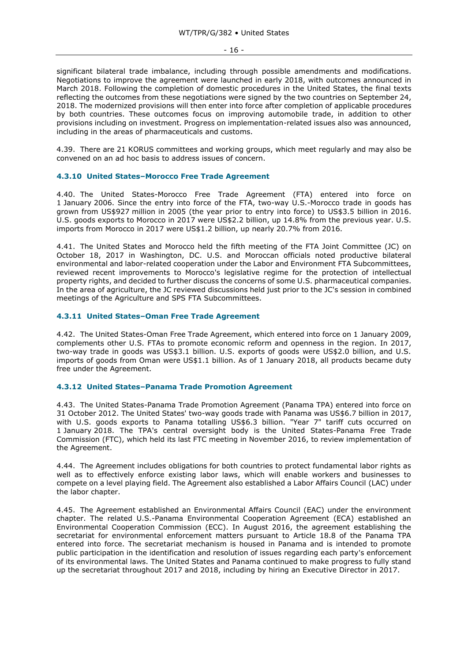significant bilateral trade imbalance, including through possible amendments and modifications. Negotiations to improve the agreement were launched in early 2018, with outcomes announced in March 2018. Following the completion of domestic procedures in the United States, the final texts reflecting the outcomes from these negotiations were signed by the two countries on September 24, 2018. The modernized provisions will then enter into force after completion of applicable procedures by both countries. These outcomes focus on improving automobile trade, in addition to other provisions including on investment. Progress on implementation-related issues also was announced, including in the areas of pharmaceuticals and customs.

4.39. There are 21 KORUS committees and working groups, which meet regularly and may also be convened on an ad hoc basis to address issues of concern.

# <span id="page-15-0"></span>**4.3.10 United States–Morocco Free Trade Agreement**

4.40. The United States-Morocco Free Trade Agreement (FTA) entered into force on 1 January 2006. Since the entry into force of the FTA, two-way U.S.-Morocco trade in goods has grown from US\$927 million in 2005 (the year prior to entry into force) to US\$3.5 billion in 2016. U.S. goods exports to Morocco in 2017 were US\$2.2 billion, up 14.8% from the previous year. U.S. imports from Morocco in 2017 were US\$1.2 billion, up nearly 20.7% from 2016.

4.41. The United States and Morocco held the fifth meeting of the FTA Joint Committee (JC) on October 18, 2017 in Washington, DC. U.S. and Moroccan officials noted productive bilateral environmental and labor-related cooperation under the Labor and Environment FTA Subcommittees, reviewed recent improvements to Morocco's legislative regime for the protection of intellectual property rights, and decided to further discuss the concerns of some U.S. pharmaceutical companies. In the area of agriculture, the JC reviewed discussions held just prior to the JC's session in combined meetings of the Agriculture and SPS FTA Subcommittees.

# <span id="page-15-1"></span>**4.3.11 United States–Oman Free Trade Agreement**

4.42. The United States-Oman Free Trade Agreement, which entered into force on 1 January 2009, complements other U.S. FTAs to promote economic reform and openness in the region. In 2017, two-way trade in goods was US\$3.1 billion. U.S. exports of goods were US\$2.0 billion, and U.S. imports of goods from Oman were US\$1.1 billion. As of 1 January 2018, all products became duty free under the Agreement.

#### <span id="page-15-2"></span>**4.3.12 United States–Panama Trade Promotion Agreement**

4.43. The United States-Panama Trade Promotion Agreement (Panama TPA) entered into force on 31 October 2012. The United States' two-way goods trade with Panama was US\$6.7 billion in 2017, with U.S. goods exports to Panama totalling US\$6.3 billion. "Year 7" tariff cuts occurred on 1 January 2018. The TPA's central oversight body is the United States-Panama Free Trade Commission (FTC), which held its last FTC meeting in November 2016, to review implementation of the Agreement.

4.44. The Agreement includes obligations for both countries to protect fundamental labor rights as well as to effectively enforce existing labor laws, which will enable workers and businesses to compete on a level playing field. The Agreement also established a Labor Affairs Council (LAC) under the labor chapter.

4.45. The Agreement established an Environmental Affairs Council (EAC) under the environment chapter. The related U.S.-Panama Environmental Cooperation Agreement (ECA) established an Environmental Cooperation Commission (ECC). In August 2016, the agreement establishing the secretariat for environmental enforcement matters pursuant to Article 18.8 of the Panama TPA entered into force. The secretariat mechanism is housed in Panama and is intended to promote public participation in the identification and resolution of issues regarding each party's enforcement of its environmental laws. The United States and Panama continued to make progress to fully stand up the secretariat throughout 2017 and 2018, including by hiring an Executive Director in 2017.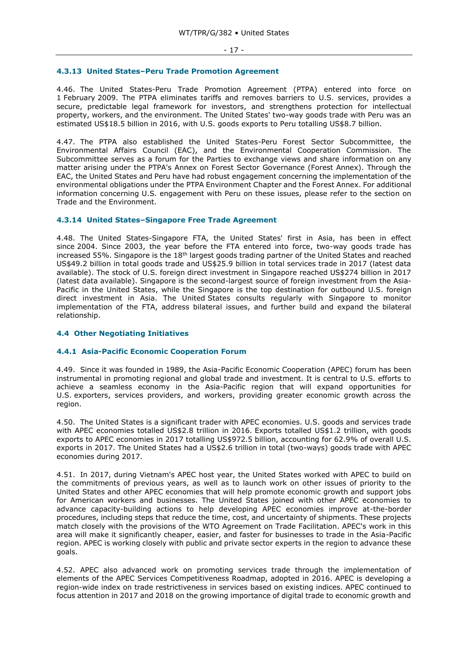#### <span id="page-16-0"></span>**4.3.13 United States–Peru Trade Promotion Agreement**

4.46. The United States-Peru Trade Promotion Agreement (PTPA) entered into force on 1 February 2009. The PTPA eliminates tariffs and removes barriers to U.S. services, provides a secure, predictable legal framework for investors, and strengthens protection for intellectual property, workers, and the environment. The United States' two-way goods trade with Peru was an estimated US\$18.5 billion in 2016, with U.S. goods exports to Peru totalling US\$8.7 billion.

4.47. The PTPA also established the United States-Peru Forest Sector Subcommittee, the Environmental Affairs Council (EAC), and the Environmental Cooperation Commission. The Subcommittee serves as a forum for the Parties to exchange views and share information on any matter arising under the PTPA's Annex on Forest Sector Governance (Forest Annex). Through the EAC, the United States and Peru have had robust engagement concerning the implementation of the environmental obligations under the PTPA Environment Chapter and the Forest Annex. For additional information concerning U.S. engagement with Peru on these issues, please refer to the section on Trade and the Environment.

#### <span id="page-16-1"></span>**4.3.14 United States–Singapore Free Trade Agreement**

4.48. The United States-Singapore FTA, the United States' first in Asia, has been in effect since 2004. Since 2003, the year before the FTA entered into force, two-way goods trade has increased 55%. Singapore is the  $18<sup>th</sup>$  largest goods trading partner of the United States and reached US\$49.2 billion in total goods trade and US\$25.9 billion in total services trade in 2017 (latest data available). The stock of U.S. foreign direct investment in Singapore reached US\$274 billion in 2017 (latest data available). Singapore is the second-largest source of foreign investment from the Asia-Pacific in the United States, while the Singapore is the top destination for outbound U.S. foreign direct investment in Asia. The United States consults regularly with Singapore to monitor implementation of the FTA, address bilateral issues, and further build and expand the bilateral relationship.

#### <span id="page-16-2"></span>**4.4 Other Negotiating Initiatives**

### <span id="page-16-3"></span>**4.4.1 Asia-Pacific Economic Cooperation Forum**

4.49. Since it was founded in 1989, the Asia-Pacific Economic Cooperation (APEC) forum has been instrumental in promoting regional and global trade and investment. It is central to U.S. efforts to achieve a seamless economy in the Asia-Pacific region that will expand opportunities for U.S. exporters, services providers, and workers, providing greater economic growth across the region.

4.50. The United States is a significant trader with APEC economies. U.S. goods and services trade with APEC economies totalled US\$2.8 trillion in 2016. Exports totalled US\$1.2 trillion, with goods exports to APEC economies in 2017 totalling US\$972.5 billion, accounting for 62.9% of overall U.S. exports in 2017. The United States had a US\$2.6 trillion in total (two-ways) goods trade with APEC economies during 2017.

4.51. In 2017, during Vietnam's APEC host year, the United States worked with APEC to build on the commitments of previous years, as well as to launch work on other issues of priority to the United States and other APEC economies that will help promote economic growth and support jobs for American workers and businesses. The United States joined with other APEC economies to advance capacity-building actions to help developing APEC economies improve at-the-border procedures, including steps that reduce the time, cost, and uncertainty of shipments. These projects match closely with the provisions of the WTO Agreement on Trade Facilitation. APEC's work in this area will make it significantly cheaper, easier, and faster for businesses to trade in the Asia-Pacific region. APEC is working closely with public and private sector experts in the region to advance these goals.

4.52. APEC also advanced work on promoting services trade through the implementation of elements of the APEC Services Competitiveness Roadmap, adopted in 2016. APEC is developing a region-wide index on trade restrictiveness in services based on existing indices. APEC continued to focus attention in 2017 and 2018 on the growing importance of digital trade to economic growth and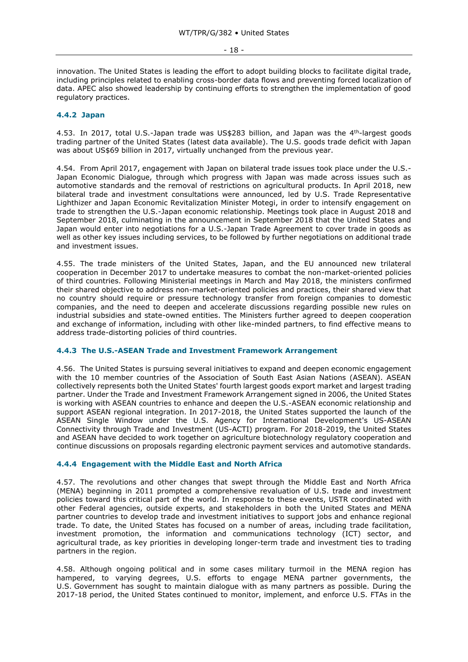innovation. The United States is leading the effort to adopt building blocks to facilitate digital trade, including principles related to enabling cross-border data flows and preventing forced localization of data. APEC also showed leadership by continuing efforts to strengthen the implementation of good regulatory practices.

# <span id="page-17-0"></span>**4.4.2 Japan**

4.53. In 2017, total U.S.-Japan trade was US\$283 billion, and Japan was the 4th-largest goods trading partner of the United States (latest data available). The U.S. goods trade deficit with Japan was about US\$69 billion in 2017, virtually unchanged from the previous year.

4.54. From April 2017, engagement with Japan on bilateral trade issues took place under the U.S.- Japan Economic Dialogue, through which progress with Japan was made across issues such as automotive standards and the removal of restrictions on agricultural products. In April 2018, new bilateral trade and investment consultations were announced, led by U.S. Trade Representative Lighthizer and Japan Economic Revitalization Minister Motegi, in order to intensify engagement on trade to strengthen the U.S.-Japan economic relationship. Meetings took place in August 2018 and September 2018, culminating in the announcement in September 2018 that the United States and Japan would enter into negotiations for a U.S.-Japan Trade Agreement to cover trade in goods as well as other key issues including services, to be followed by further negotiations on additional trade and investment issues.

4.55. The trade ministers of the United States, Japan, and the EU announced new trilateral cooperation in December 2017 to undertake measures to combat the non-market-oriented policies of third countries. Following Ministerial meetings in March and May 2018, the ministers confirmed their shared objective to address non-market-oriented policies and practices, their shared view that no country should require or pressure technology transfer from foreign companies to domestic companies, and the need to deepen and accelerate discussions regarding possible new rules on industrial subsidies and state-owned entities. The Ministers further agreed to deepen cooperation and exchange of information, including with other like-minded partners, to find effective means to address trade-distorting policies of third countries.

# <span id="page-17-1"></span>**4.4.3 The U.S.-ASEAN Trade and Investment Framework Arrangement**

4.56. The United States is pursuing several initiatives to expand and deepen economic engagement with the 10 member countries of the Association of South East Asian Nations (ASEAN). ASEAN collectively represents both the United States' fourth largest goods export market and largest trading partner. Under the Trade and Investment Framework Arrangement signed in 2006, the United States is working with ASEAN countries to enhance and deepen the U.S.-ASEAN economic relationship and support ASEAN regional integration. In 2017-2018, the United States supported the launch of the ASEAN Single Window under the U.S. Agency for International Development's US-ASEAN Connectivity through Trade and Investment (US-ACTI) program. For 2018-2019, the United States and ASEAN have decided to work together on agriculture biotechnology regulatory cooperation and continue discussions on proposals regarding electronic payment services and automotive standards.

#### <span id="page-17-2"></span>**4.4.4 Engagement with the Middle East and North Africa**

4.57. The revolutions and other changes that swept through the Middle East and North Africa (MENA) beginning in 2011 prompted a comprehensive revaluation of U.S. trade and investment policies toward this critical part of the world. In response to these events, USTR coordinated with other Federal agencies, outside experts, and stakeholders in both the United States and MENA partner countries to develop trade and investment initiatives to support jobs and enhance regional trade. To date, the United States has focused on a number of areas, including trade facilitation, investment promotion, the information and communications technology (ICT) sector, and agricultural trade, as key priorities in developing longer-term trade and investment ties to trading partners in the region.

4.58. Although ongoing political and in some cases military turmoil in the MENA region has hampered, to varying degrees, U.S. efforts to engage MENA partner governments, the U.S. Government has sought to maintain dialogue with as many partners as possible. During the 2017-18 period, the United States continued to monitor, implement, and enforce U.S. FTAs in the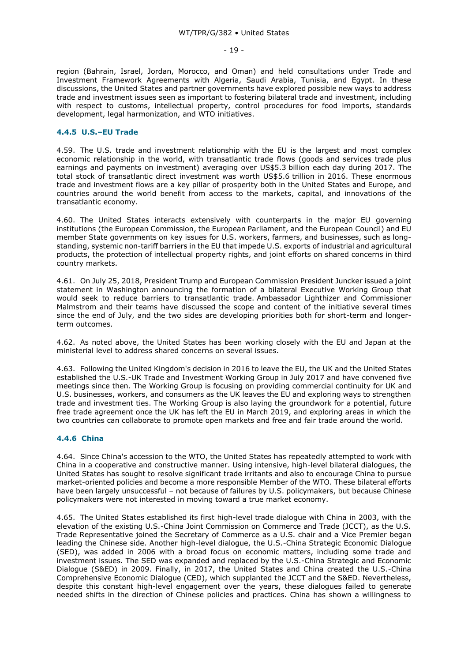region (Bahrain, Israel, Jordan, Morocco, and Oman) and held consultations under Trade and Investment Framework Agreements with Algeria, Saudi Arabia, Tunisia, and Egypt. In these discussions, the United States and partner governments have explored possible new ways to address trade and investment issues seen as important to fostering bilateral trade and investment, including with respect to customs, intellectual property, control procedures for food imports, standards development, legal harmonization, and WTO initiatives.

# <span id="page-18-0"></span>**4.4.5 U.S.–EU Trade**

4.59. The U.S. trade and investment relationship with the EU is the largest and most complex economic relationship in the world, with transatlantic trade flows (goods and services trade plus earnings and payments on investment) averaging over US\$5.3 billion each day during 2017. The total stock of transatlantic direct investment was worth US\$5.6 trillion in 2016. These enormous trade and investment flows are a key pillar of prosperity both in the United States and Europe, and countries around the world benefit from access to the markets, capital, and innovations of the transatlantic economy.

4.60. The United States interacts extensively with counterparts in the major EU governing institutions (the European Commission, the European Parliament, and the European Council) and EU member State governments on key issues for U.S. workers, farmers, and businesses, such as longstanding, systemic non-tariff barriers in the EU that impede U.S. exports of industrial and agricultural products, the protection of intellectual property rights, and joint efforts on shared concerns in third country markets.

4.61. On July 25, 2018, President Trump and European Commission President Juncker issued a joint statement in Washington announcing the formation of a bilateral Executive Working Group that would seek to reduce barriers to transatlantic trade. Ambassador Lighthizer and Commissioner Malmstrom and their teams have discussed the scope and content of the initiative several times since the end of July, and the two sides are developing priorities both for short-term and longerterm outcomes.

4.62. As noted above, the United States has been working closely with the EU and Japan at the ministerial level to address shared concerns on several issues.

4.63. Following the United Kingdom's decision in 2016 to leave the EU, the UK and the United States established the U.S.-UK Trade and Investment Working Group in July 2017 and have convened five meetings since then. The Working Group is focusing on providing commercial continuity for UK and U.S. businesses, workers, and consumers as the UK leaves the EU and exploring ways to strengthen trade and investment ties. The Working Group is also laying the groundwork for a potential, future free trade agreement once the UK has left the EU in March 2019, and exploring areas in which the two countries can collaborate to promote open markets and free and fair trade around the world.

#### <span id="page-18-1"></span>**4.4.6 China**

4.64. Since China's accession to the WTO, the United States has repeatedly attempted to work with China in a cooperative and constructive manner. Using intensive, high-level bilateral dialogues, the United States has sought to resolve significant trade irritants and also to encourage China to pursue market-oriented policies and become a more responsible Member of the WTO. These bilateral efforts have been largely unsuccessful – not because of failures by U.S. policymakers, but because Chinese policymakers were not interested in moving toward a true market economy.

4.65. The United States established its first high-level trade dialogue with China in 2003, with the elevation of the existing U.S.-China Joint Commission on Commerce and Trade (JCCT), as the U.S. Trade Representative joined the Secretary of Commerce as a U.S. chair and a Vice Premier began leading the Chinese side. Another high-level dialogue, the U.S.-China Strategic Economic Dialogue (SED), was added in 2006 with a broad focus on economic matters, including some trade and investment issues. The SED was expanded and replaced by the U.S.-China Strategic and Economic Dialogue (S&ED) in 2009. Finally, in 2017, the United States and China created the U.S.-China Comprehensive Economic Dialogue (CED), which supplanted the JCCT and the S&ED. Nevertheless, despite this constant high-level engagement over the years, these dialogues failed to generate needed shifts in the direction of Chinese policies and practices. China has shown a willingness to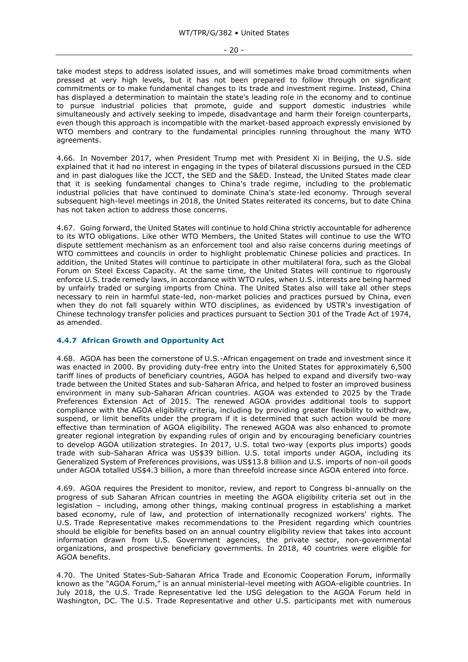take modest steps to address isolated issues, and will sometimes make broad commitments when pressed at very high levels, but it has not been prepared to follow through on significant commitments or to make fundamental changes to its trade and investment regime. Instead, China has displayed a determination to maintain the state's leading role in the economy and to continue to pursue industrial policies that promote, guide and support domestic industries while simultaneously and actively seeking to impede, disadvantage and harm their foreign counterparts, even though this approach is incompatible with the market-based approach expressly envisioned by WTO members and contrary to the fundamental principles running throughout the many WTO agreements.

4.66. In November 2017, when President Trump met with President Xi in Beijing, the U.S. side explained that it had no interest in engaging in the types of bilateral discussions pursued in the CED and in past dialogues like the JCCT, the SED and the S&ED. Instead, the United States made clear that it is seeking fundamental changes to China's trade regime, including to the problematic industrial policies that have continued to dominate China's state-led economy. Through several subsequent high-level meetings in 2018, the United States reiterated its concerns, but to date China has not taken action to address those concerns.

4.67. Going forward, the United States will continue to hold China strictly accountable for adherence to its WTO obligations. Like other WTO Members, the United States will continue to use the WTO dispute settlement mechanism as an enforcement tool and also raise concerns during meetings of WTO committees and councils in order to highlight problematic Chinese policies and practices. In addition, the United States will continue to participate in other multilateral fora, such as the Global Forum on Steel Excess Capacity. At the same time, the United States will continue to rigorously enforce U.S. trade remedy laws, in accordance with WTO rules, when U.S. interests are being harmed by unfairly traded or surging imports from China. The United States also will take all other steps necessary to rein in harmful state-led, non-market policies and practices pursued by China, even when they do not fall squarely within WTO disciplines, as evidenced by USTR's investigation of Chinese technology transfer policies and practices pursuant to Section 301 of the Trade Act of 1974, as amended.

# <span id="page-19-0"></span>**4.4.7 African Growth and Opportunity Act**

4.68. AGOA has been the cornerstone of U.S.-African engagement on trade and investment since it was enacted in 2000. By providing duty-free entry into the United States for approximately 6,500 tariff lines of products of beneficiary countries, AGOA has helped to expand and diversify two-way trade between the United States and sub-Saharan Africa, and helped to foster an improved business environment in many sub-Saharan African countries. AGOA was extended to 2025 by the Trade Preferences Extension Act of 2015. The renewed AGOA provides additional tools to support compliance with the AGOA eligibility criteria, including by providing greater flexibility to withdraw, suspend, or limit benefits under the program if it is determined that such action would be more effective than termination of AGOA eligibility. The renewed AGOA was also enhanced to promote greater regional integration by expanding rules of origin and by encouraging beneficiary countries to develop AGOA utilization strategies. In 2017, U.S. total two-way (exports plus imports) goods trade with sub-Saharan Africa was US\$39 billion. U.S. total imports under AGOA, including its Generalized System of Preferences provisions, was US\$13.8 billion and U.S. imports of non-oil goods under AGOA totalled US\$4.3 billion, a more than threefold increase since AGOA entered into force.

4.69. AGOA requires the President to monitor, review, and report to Congress bi-annually on the progress of sub Saharan African countries in meeting the AGOA eligibility criteria set out in the legislation – including, among other things, making continual progress in establishing a market based economy, rule of law, and protection of internationally recognized workers' rights. The U.S. Trade Representative makes recommendations to the President regarding which countries should be eligible for benefits based on an annual country eligibility review that takes into account information drawn from U.S. Government agencies, the private sector, non-governmental organizations, and prospective beneficiary governments. In 2018, 40 countries were eligible for AGOA benefits.

4.70. The United States-Sub-Saharan Africa Trade and Economic Cooperation Forum, informally known as the "AGOA Forum," is an annual ministerial-level meeting with AGOA-eligible countries. In July 2018, the U.S. Trade Representative led the USG delegation to the AGOA Forum held in Washington, DC. The U.S. Trade Representative and other U.S. participants met with numerous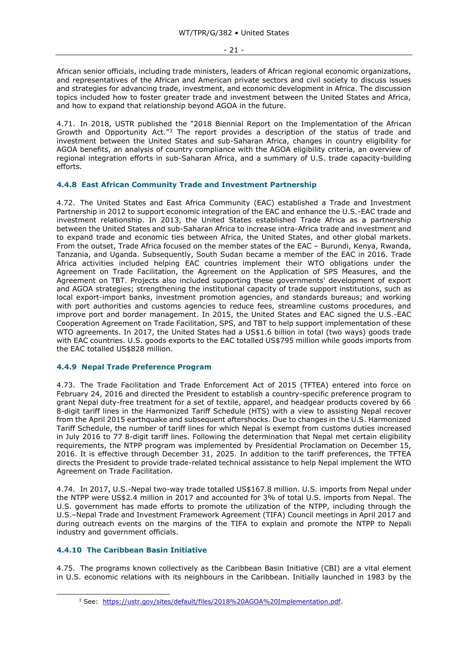African senior officials, including trade ministers, leaders of African regional economic organizations, and representatives of the African and American private sectors and civil society to discuss issues and strategies for advancing trade, investment, and economic development in Africa. The discussion topics included how to foster greater trade and investment between the United States and Africa, and how to expand that relationship beyond AGOA in the future.

4.71. In 2018, USTR published the "2018 Biennial Report on the Implementation of the African Growth and Opportunity Act."<sup>3</sup> The report provides a description of the status of trade and investment between the United States and sub-Saharan Africa, changes in country eligibility for AGOA benefits, an analysis of country compliance with the AGOA eligibility criteria, an overview of regional integration efforts in sub-Saharan Africa, and a summary of U.S. trade capacity-building efforts.

# <span id="page-20-0"></span>**4.4.8 East African Community Trade and Investment Partnership**

4.72. The United States and East Africa Community (EAC) established a Trade and Investment Partnership in 2012 to support economic integration of the EAC and enhance the U.S.-EAC trade and investment relationship. In 2013, the United States established Trade Africa as a partnership between the United States and sub-Saharan Africa to increase intra-Africa trade and investment and to expand trade and economic ties between Africa, the United States, and other global markets. From the outset, Trade Africa focused on the member states of the EAC - Burundi, Kenya, Rwanda, Tanzania, and Uganda. Subsequently, South Sudan became a member of the EAC in 2016. Trade Africa activities included helping EAC countries implement their WTO obligations under the Agreement on Trade Facilitation, the Agreement on the Application of SPS Measures, and the Agreement on TBT. Projects also included supporting these governments' development of export and AGOA strategies; strengthening the institutional capacity of trade support institutions, such as local export-import banks, investment promotion agencies, and standards bureaus; and working with port authorities and customs agencies to reduce fees, streamline customs procedures, and improve port and border management. In 2015, the United States and EAC signed the U.S.-EAC Cooperation Agreement on Trade Facilitation, SPS, and TBT to help support implementation of these WTO agreements. In 2017, the United States had a US\$1.6 billion in total (two ways) goods trade with EAC countries. U.S. goods exports to the EAC totalled US\$795 million while goods imports from the EAC totalled US\$828 million.

# <span id="page-20-1"></span>**4.4.9 Nepal Trade Preference Program**

4.73. The Trade Facilitation and Trade Enforcement Act of 2015 (TFTEA) entered into force on February 24, 2016 and directed the President to establish a country-specific preference program to grant Nepal duty-free treatment for a set of textile, apparel, and headgear products covered by 66 8-digit tariff lines in the Harmonized Tariff Schedule (HTS) with a view to assisting Nepal recover from the April 2015 earthquake and subsequent aftershocks. Due to changes in the U.S. Harmonized Tariff Schedule, the number of tariff lines for which Nepal is exempt from customs duties increased in July 2016 to 77 8-digit tariff lines. Following the determination that Nepal met certain eligibility requirements, the NTPP program was implemented by Presidential Proclamation on December 15, 2016. It is effective through December 31, 2025. In addition to the tariff preferences, the TFTEA directs the President to provide trade-related technical assistance to help Nepal implement the WTO Agreement on Trade Facilitation.

4.74. In 2017, U.S.-Nepal two-way trade totalled US\$167.8 million. U.S. imports from Nepal under the NTPP were US\$2.4 million in 2017 and accounted for 3% of total U.S. imports from Nepal. The U.S. government has made efforts to promote the utilization of the NTPP, including through the U.S.–Nepal Trade and Investment Framework Agreement (TIFA) Council meetings in April 2017 and during outreach events on the margins of the TIFA to explain and promote the NTPP to Nepali industry and government officials.

# <span id="page-20-2"></span>**4.4.10 The Caribbean Basin Initiative**

-

4.75. The programs known collectively as the Caribbean Basin Initiative (CBI) are a vital element in U.S. economic relations with its neighbours in the Caribbean. Initially launched in 1983 by the

<sup>3</sup> See: [https://ustr.gov/sites/default/files/2018%20AGOA%20Implementation.pdf.](https://ustr.gov/sites/default/files/2018%20AGOA%20Implementation.pdf)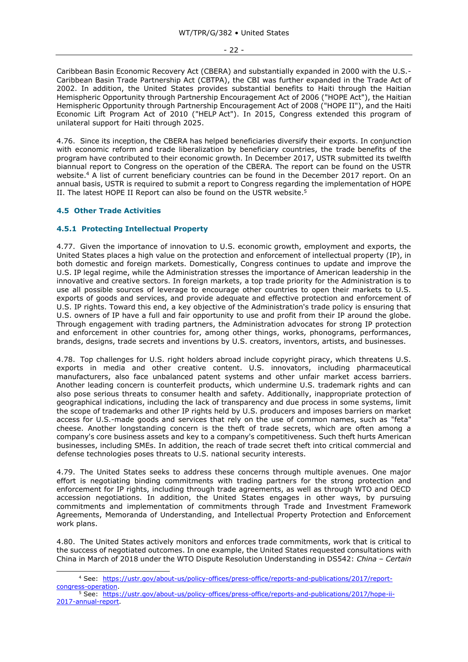#### - 22 -

Caribbean Basin Economic Recovery Act (CBERA) and substantially expanded in 2000 with the U.S.- Caribbean Basin Trade Partnership Act (CBTPA), the CBI was further expanded in the Trade Act of 2002. In addition, the United States provides substantial benefits to Haiti through the Haitian Hemispheric Opportunity through Partnership Encouragement Act of 2006 ("HOPE Act"), the Haitian Hemispheric Opportunity through Partnership Encouragement Act of 2008 ("HOPE II"), and the Haiti Economic Lift Program Act of 2010 ("HELP Act"). In 2015, Congress extended this program of unilateral support for Haiti through 2025.

4.76. Since its inception, the CBERA has helped beneficiaries diversify their exports. In conjunction with economic reform and trade liberalization by beneficiary countries, the trade benefits of the program have contributed to their economic growth. In December 2017, USTR submitted its twelfth biannual report to Congress on the operation of the CBERA. The report can be found on the USTR website. <sup>4</sup> A list of current beneficiary countries can be found in the December 2017 report. On an annual basis, USTR is required to submit a report to Congress regarding the implementation of HOPE II. The latest HOPE II Report can also be found on the USTR website.<sup>5</sup>

# <span id="page-21-0"></span>**4.5 Other Trade Activities**

-

# <span id="page-21-1"></span>**4.5.1 Protecting Intellectual Property**

4.77. Given the importance of innovation to U.S. economic growth, employment and exports, the United States places a high value on the protection and enforcement of intellectual property (IP), in both domestic and foreign markets. Domestically, Congress continues to update and improve the U.S. IP legal regime, while the Administration stresses the importance of American leadership in the innovative and creative sectors. In foreign markets, a top trade priority for the Administration is to use all possible sources of leverage to encourage other countries to open their markets to U.S. exports of goods and services, and provide adequate and effective protection and enforcement of U.S. IP rights. Toward this end, a key objective of the Administration's trade policy is ensuring that U.S. owners of IP have a full and fair opportunity to use and profit from their IP around the globe. Through engagement with trading partners, the Administration advocates for strong IP protection and enforcement in other countries for, among other things, works, phonograms, performances, brands, designs, trade secrets and inventions by U.S. creators, inventors, artists, and businesses.

4.78. Top challenges for U.S. right holders abroad include copyright piracy, which threatens U.S. exports in media and other creative content. U.S. innovators, including pharmaceutical manufacturers, also face unbalanced patent systems and other unfair market access barriers. Another leading concern is counterfeit products, which undermine U.S. trademark rights and can also pose serious threats to consumer health and safety. Additionally, inappropriate protection of geographical indications, including the lack of transparency and due process in some systems, limit the scope of trademarks and other IP rights held by U.S. producers and imposes barriers on market access for U.S.-made goods and services that rely on the use of common names, such as "feta" cheese. Another longstanding concern is the theft of trade secrets, which are often among a company's core business assets and key to a company's competitiveness. Such theft hurts American businesses, including SMEs. In addition, the reach of trade secret theft into critical commercial and defense technologies poses threats to U.S. national security interests.

4.79. The United States seeks to address these concerns through multiple avenues. One major effort is negotiating binding commitments with trading partners for the strong protection and enforcement for IP rights, including through trade agreements, as well as through WTO and OECD accession negotiations. In addition, the United States engages in other ways, by pursuing commitments and implementation of commitments through Trade and Investment Framework Agreements, Memoranda of Understanding, and Intellectual Property Protection and Enforcement work plans.

4.80. The United States actively monitors and enforces trade commitments, work that is critical to the success of negotiated outcomes. In one example, the United States requested consultations with China in March of 2018 under the WTO Dispute Resolution Understanding in DS542: *China – Certain* 

<sup>4</sup> See: [https://ustr.gov/about-us/policy-offices/press-office/reports-and-publications/2017/report](https://ustr.gov/about-us/policy-offices/press-office/reports-and-publications/2017/report-congress-operation)[congress-operation.](https://ustr.gov/about-us/policy-offices/press-office/reports-and-publications/2017/report-congress-operation)

<sup>5</sup> See: [https://ustr.gov/about-us/policy-offices/press-office/reports-and-publications/2017/hope-ii-](https://ustr.gov/about-us/policy-offices/press-office/reports-and-publications/2017/hope-ii-2017-annual-report)[2017-annual-report.](https://ustr.gov/about-us/policy-offices/press-office/reports-and-publications/2017/hope-ii-2017-annual-report)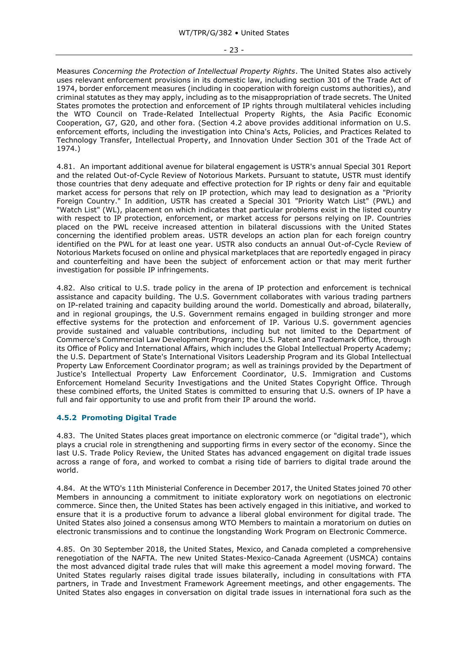Measures *Concerning the Protection of Intellectual Property Rights*. The United States also actively uses relevant enforcement provisions in its domestic law, including section 301 of the Trade Act of 1974, border enforcement measures (including in cooperation with foreign customs authorities), and criminal statutes as they may apply, including as to the misappropriation of trade secrets. The United States promotes the protection and enforcement of IP rights through multilateral vehicles including the WTO Council on Trade-Related Intellectual Property Rights, the Asia Pacific Economic Cooperation, G7, G20, and other fora. (Section 4.2 above provides additional information on U.S. enforcement efforts, including the investigation into China's Acts, Policies, and Practices Related to Technology Transfer, Intellectual Property, and Innovation Under Section 301 of the Trade Act of 1974.)

4.81. An important additional avenue for bilateral engagement is USTR's annual Special 301 Report and the related Out-of-Cycle Review of Notorious Markets. Pursuant to statute, USTR must identify those countries that deny adequate and effective protection for IP rights or deny fair and equitable market access for persons that rely on IP protection, which may lead to designation as a "Priority Foreign Country." In addition, USTR has created a Special 301 "Priority Watch List" (PWL) and "Watch List" (WL), placement on which indicates that particular problems exist in the listed country with respect to IP protection, enforcement, or market access for persons relying on IP. Countries placed on the PWL receive increased attention in bilateral discussions with the United States concerning the identified problem areas. USTR develops an action plan for each foreign country identified on the PWL for at least one year. USTR also conducts an annual Out-of-Cycle Review of Notorious Markets focused on online and physical marketplaces that are reportedly engaged in piracy and counterfeiting and have been the subject of enforcement action or that may merit further investigation for possible IP infringements.

4.82. Also critical to U.S. trade policy in the arena of IP protection and enforcement is technical assistance and capacity building. The U.S. Government collaborates with various trading partners on IP-related training and capacity building around the world. Domestically and abroad, bilaterally, and in regional groupings, the U.S. Government remains engaged in building stronger and more effective systems for the protection and enforcement of IP. Various U.S. government agencies provide sustained and valuable contributions, including but not limited to the Department of Commerce's Commercial Law Development Program; the U.S. Patent and Trademark Office, through its Office of Policy and International Affairs, which includes the Global Intellectual Property Academy; the U.S. Department of State's International Visitors Leadership Program and its Global Intellectual Property Law Enforcement Coordinator program; as well as trainings provided by the Department of Justice's Intellectual Property Law Enforcement Coordinator, U.S. Immigration and Customs Enforcement Homeland Security Investigations and the United States Copyright Office. Through these combined efforts, the United States is committed to ensuring that U.S. owners of IP have a full and fair opportunity to use and profit from their IP around the world.

# <span id="page-22-0"></span>**4.5.2 Promoting Digital Trade**

4.83. The United States places great importance on electronic commerce (or "digital trade"), which plays a crucial role in strengthening and supporting firms in every sector of the economy. Since the last U.S. Trade Policy Review, the United States has advanced engagement on digital trade issues across a range of fora, and worked to combat a rising tide of barriers to digital trade around the world.

4.84. At the WTO's 11th Ministerial Conference in December 2017, the United States joined 70 other Members in announcing a commitment to initiate exploratory work on negotiations on electronic commerce. Since then, the United States has been actively engaged in this initiative, and worked to ensure that it is a productive forum to advance a liberal global environment for digital trade. The United States also joined a consensus among WTO Members to maintain a moratorium on duties on electronic transmissions and to continue the longstanding Work Program on Electronic Commerce.

4.85. On 30 September 2018, the United States, Mexico, and Canada completed a comprehensive renegotiation of the NAFTA. The new United States-Mexico-Canada Agreement (USMCA) contains the most advanced digital trade rules that will make this agreement a model moving forward. The United States regularly raises digital trade issues bilaterally, including in consultations with FTA partners, in Trade and Investment Framework Agreement meetings, and other engagements. The United States also engages in conversation on digital trade issues in international fora such as the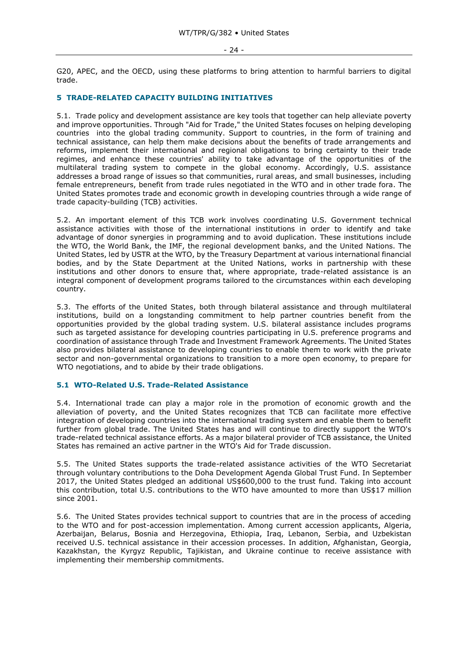#### - 24 -

G20, APEC, and the OECD, using these platforms to bring attention to harmful barriers to digital trade.

# <span id="page-23-0"></span>**5 TRADE-RELATED CAPACITY BUILDING INITIATIVES**

5.1. Trade policy and development assistance are key tools that together can help alleviate poverty and improve opportunities. Through "Aid for Trade," the United States focuses on helping developing countries into the global trading community. Support to countries, in the form of training and technical assistance, can help them make decisions about the benefits of trade arrangements and reforms, implement their international and regional obligations to bring certainty to their trade regimes, and enhance these countries' ability to take advantage of the opportunities of the multilateral trading system to compete in the global economy. Accordingly, U.S. assistance addresses a broad range of issues so that communities, rural areas, and small businesses, including female entrepreneurs, benefit from trade rules negotiated in the WTO and in other trade fora. The United States promotes trade and economic growth in developing countries through a wide range of trade capacity-building (TCB) activities.

5.2. An important element of this TCB work involves coordinating U.S. Government technical assistance activities with those of the international institutions in order to identify and take advantage of donor synergies in programming and to avoid duplication. These institutions include the WTO, the World Bank, the IMF, the regional development banks, and the United Nations. The United States, led by USTR at the WTO, by the Treasury Department at various international financial bodies, and by the State Department at the United Nations, works in partnership with these institutions and other donors to ensure that, where appropriate, trade-related assistance is an integral component of development programs tailored to the circumstances within each developing country.

5.3. The efforts of the United States, both through bilateral assistance and through multilateral institutions, build on a longstanding commitment to help partner countries benefit from the opportunities provided by the global trading system. U.S. bilateral assistance includes programs such as targeted assistance for developing countries participating in U.S. preference programs and coordination of assistance through Trade and Investment Framework Agreements. The United States also provides bilateral assistance to developing countries to enable them to work with the private sector and non-governmental organizations to transition to a more open economy, to prepare for WTO negotiations, and to abide by their trade obligations.

# <span id="page-23-1"></span>**5.1 WTO-Related U.S. Trade-Related Assistance**

5.4. International trade can play a major role in the promotion of economic growth and the alleviation of poverty, and the United States recognizes that TCB can facilitate more effective integration of developing countries into the international trading system and enable them to benefit further from global trade. The United States has and will continue to directly support the WTO's trade-related technical assistance efforts. As a major bilateral provider of TCB assistance, the United States has remained an active partner in the WTO's Aid for Trade discussion.

5.5. The United States supports the trade-related assistance activities of the WTO Secretariat through voluntary contributions to the Doha Development Agenda Global Trust Fund. In September 2017, the United States pledged an additional US\$600,000 to the trust fund. Taking into account this contribution, total U.S. contributions to the WTO have amounted to more than US\$17 million since 2001.

5.6. The United States provides technical support to countries that are in the process of acceding to the WTO and for post-accession implementation. Among current accession applicants, Algeria, Azerbaijan, Belarus, Bosnia and Herzegovina, Ethiopia, Iraq, Lebanon, Serbia, and Uzbekistan received U.S. technical assistance in their accession processes. In addition, Afghanistan, Georgia, Kazakhstan, the Kyrgyz Republic, Tajikistan, and Ukraine continue to receive assistance with implementing their membership commitments.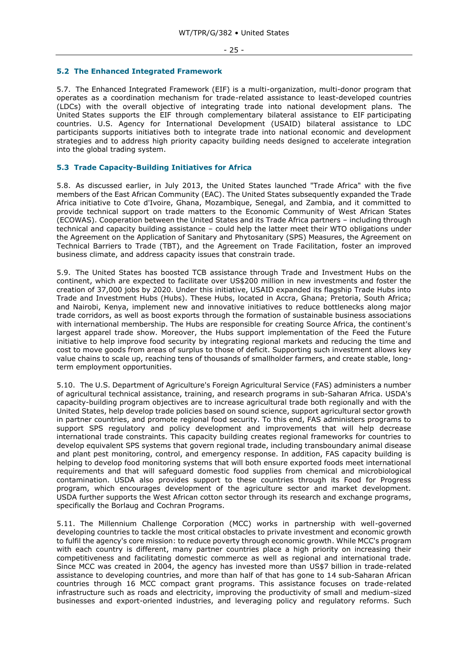#### <span id="page-24-0"></span>**5.2 The Enhanced Integrated Framework**

5.7. The Enhanced Integrated Framework (EIF) is a multi-organization, multi-donor program that operates as a coordination mechanism for trade-related assistance to least-developed countries (LDCs) with the overall objective of integrating trade into national development plans. The United States supports the EIF through complementary bilateral assistance to EIF participating countries. U.S. Agency for International Development (USAID) bilateral assistance to LDC participants supports initiatives both to integrate trade into national economic and development strategies and to address high priority capacity building needs designed to accelerate integration into the global trading system.

# <span id="page-24-1"></span>**5.3 Trade Capacity-Building Initiatives for Africa**

5.8. As discussed earlier, in July 2013, the United States launched "Trade Africa" with the five members of the East African Community (EAC). The United States subsequently expanded the Trade Africa initiative to Cote d'Ivoire, Ghana, Mozambique, Senegal, and Zambia, and it committed to provide technical support on trade matters to the Economic Community of West African States (ECOWAS). Cooperation between the United States and its Trade Africa partners – including through technical and capacity building assistance – could help the latter meet their WTO obligations under the Agreement on the Application of Sanitary and Phytosanitary (SPS) Measures, the Agreement on Technical Barriers to Trade (TBT), and the Agreement on Trade Facilitation, foster an improved business climate, and address capacity issues that constrain trade.

5.9. The United States has boosted TCB assistance through Trade and Investment Hubs on the continent, which are expected to facilitate over US\$200 million in new investments and foster the creation of 37,000 jobs by 2020. Under this initiative, USAID expanded its flagship Trade Hubs into Trade and Investment Hubs (Hubs). These Hubs, located in Accra, Ghana; Pretoria, South Africa; and Nairobi, Kenya, implement new and innovative initiatives to reduce bottlenecks along major trade corridors, as well as boost exports through the formation of sustainable business associations with international membership. The Hubs are responsible for creating Source Africa, the continent's largest apparel trade show. Moreover, the Hubs support implementation of the Feed the Future initiative to help improve food security by integrating regional markets and reducing the time and cost to move goods from areas of surplus to those of deficit. Supporting such investment allows key value chains to scale up, reaching tens of thousands of smallholder farmers, and create stable, longterm employment opportunities.

5.10. The U.S. Department of Agriculture's Foreign Agricultural Service (FAS) administers a number of agricultural technical assistance, training, and research programs in sub-Saharan Africa. USDA's capacity-building program objectives are to increase agricultural trade both regionally and with the United States, help develop trade policies based on sound science, support agricultural sector growth in partner countries, and promote regional food security. To this end, FAS administers programs to support SPS regulatory and policy development and improvements that will help decrease international trade constraints. This capacity building creates regional frameworks for countries to develop equivalent SPS systems that govern regional trade, including transboundary animal disease and plant pest monitoring, control, and emergency response. In addition, FAS capacity building is helping to develop food monitoring systems that will both ensure exported foods meet international requirements and that will safeguard domestic food supplies from chemical and microbiological contamination. USDA also provides support to these countries through its Food for Progress program, which encourages development of the agriculture sector and market development. USDA further supports the West African cotton sector through its research and exchange programs, specifically the Borlaug and Cochran Programs.

5.11. The Millennium Challenge Corporation (MCC) works in partnership with well-governed developing countries to tackle the most critical obstacles to private investment and economic growth to fulfil the agency's core mission: to reduce poverty through economic growth. While MCC's program with each country is different, many partner countries place a high priority on increasing their competitiveness and facilitating domestic commerce as well as regional and international trade. Since MCC was created in 2004, the agency has invested more than US\$7 billion in trade-related assistance to developing countries, and more than half of that has gone to 14 sub-Saharan African countries through 16 MCC compact grant programs. This assistance focuses on trade-related infrastructure such as roads and electricity, improving the productivity of small and medium-sized businesses and export-oriented industries, and leveraging policy and regulatory reforms. Such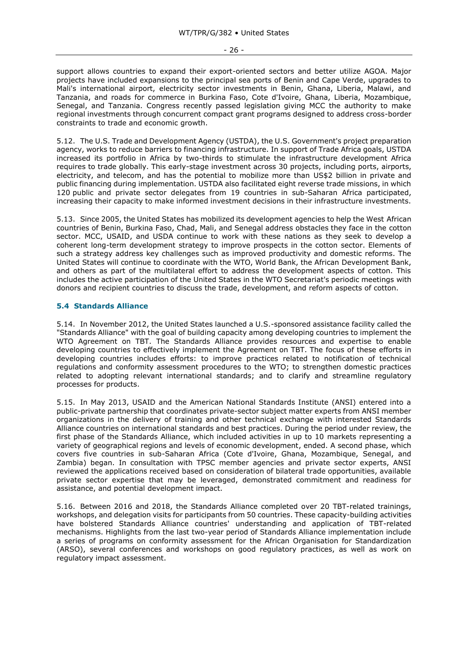support allows countries to expand their export-oriented sectors and better utilize AGOA. Major projects have included expansions to the principal sea ports of Benin and Cape Verde, upgrades to Mali's international airport, electricity sector investments in Benin, Ghana, Liberia, Malawi, and Tanzania, and roads for commerce in Burkina Faso, Cote d'Ivoire, Ghana, Liberia, Mozambique, Senegal, and Tanzania. Congress recently passed legislation giving MCC the authority to make regional investments through concurrent compact grant programs designed to address cross-border constraints to trade and economic growth.

5.12. The U.S. Trade and Development Agency (USTDA), the U.S. Government's project preparation agency, works to reduce barriers to financing infrastructure. In support of Trade Africa goals, USTDA increased its portfolio in Africa by two-thirds to stimulate the infrastructure development Africa requires to trade globally. This early-stage investment across 30 projects, including ports, airports, electricity, and telecom, and has the potential to mobilize more than US\$2 billion in private and public financing during implementation. USTDA also facilitated eight reverse trade missions, in which 120 public and private sector delegates from 19 countries in sub-Saharan Africa participated, increasing their capacity to make informed investment decisions in their infrastructure investments.

5.13. Since 2005, the United States has mobilized its development agencies to help the West African countries of Benin, Burkina Faso, Chad, Mali, and Senegal address obstacles they face in the cotton sector. MCC, USAID, and USDA continue to work with these nations as they seek to develop a coherent long-term development strategy to improve prospects in the cotton sector. Elements of such a strategy address key challenges such as improved productivity and domestic reforms. The United States will continue to coordinate with the WTO, World Bank, the African Development Bank, and others as part of the multilateral effort to address the development aspects of cotton. This includes the active participation of the United States in the WTO Secretariat's periodic meetings with donors and recipient countries to discuss the trade, development, and reform aspects of cotton.

# <span id="page-25-0"></span>**5.4 Standards Alliance**

5.14. In November 2012, the United States launched a U.S.-sponsored assistance facility called the "Standards Alliance" with the goal of building capacity among developing countries to implement the WTO Agreement on TBT. The Standards Alliance provides resources and expertise to enable developing countries to effectively implement the Agreement on TBT. The focus of these efforts in developing countries includes efforts: to improve practices related to notification of technical regulations and conformity assessment procedures to the WTO; to strengthen domestic practices related to adopting relevant international standards; and to clarify and streamline regulatory processes for products.

5.15. In May 2013, USAID and the American National Standards Institute (ANSI) entered into a public-private partnership that coordinates private-sector subject matter experts from ANSI member organizations in the delivery of training and other technical exchange with interested Standards Alliance countries on international standards and best practices. During the period under review, the first phase of the Standards Alliance, which included activities in up to 10 markets representing a variety of geographical regions and levels of economic development, ended. A second phase, which covers five countries in sub-Saharan Africa (Cote d'Ivoire, Ghana, Mozambique, Senegal, and Zambia) began. In consultation with TPSC member agencies and private sector experts, ANSI reviewed the applications received based on consideration of bilateral trade opportunities, available private sector expertise that may be leveraged, demonstrated commitment and readiness for assistance, and potential development impact.

5.16. Between 2016 and 2018, the Standards Alliance completed over 20 TBT-related trainings, workshops, and delegation visits for participants from 50 countries. These capacity-building activities have bolstered Standards Alliance countries' understanding and application of TBT-related mechanisms. Highlights from the last two-year period of Standards Alliance implementation include a series of programs on conformity assessment for the African Organisation for Standardization (ARSO), several conferences and workshops on good regulatory practices, as well as work on regulatory impact assessment.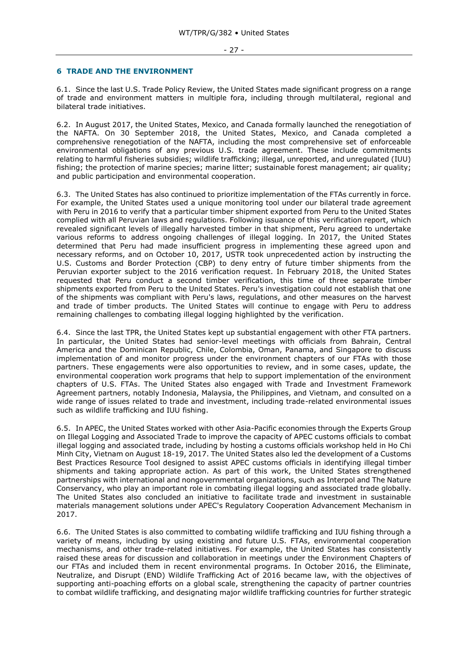#### - 27 -

#### <span id="page-26-0"></span>**6 TRADE AND THE ENVIRONMENT**

6.1. Since the last U.S. Trade Policy Review, the United States made significant progress on a range of trade and environment matters in multiple fora, including through multilateral, regional and bilateral trade initiatives.

6.2. In August 2017, the United States, Mexico, and Canada formally launched the renegotiation of the NAFTA. On 30 September 2018, the United States, Mexico, and Canada completed a comprehensive renegotiation of the NAFTA, including the most comprehensive set of enforceable environmental obligations of any previous U.S. trade agreement. These include commitments relating to harmful fisheries subsidies; wildlife trafficking; illegal, unreported, and unregulated (IUU) fishing; the protection of marine species; marine litter; sustainable forest management; air quality; and public participation and environmental cooperation.

6.3. The United States has also continued to prioritize implementation of the FTAs currently in force. For example, the United States used a unique monitoring tool under our bilateral trade agreement with Peru in 2016 to verify that a particular timber shipment exported from Peru to the United States complied with all Peruvian laws and regulations. Following issuance of this verification report, which revealed significant levels of illegally harvested timber in that shipment, Peru agreed to undertake various reforms to address ongoing challenges of illegal logging. In 2017, the United States determined that Peru had made insufficient progress in implementing these agreed upon and necessary reforms, and on October 10, 2017, USTR took unprecedented action by instructing the U.S. Customs and Border Protection (CBP) to deny entry of future timber shipments from the Peruvian exporter subject to the 2016 verification request. In February 2018, the United States requested that Peru conduct a second timber verification, this time of three separate timber shipments exported from Peru to the United States. Peru's investigation could not establish that one of the shipments was compliant with Peru's laws, regulations, and other measures on the harvest and trade of timber products. The United States will continue to engage with Peru to address remaining challenges to combating illegal logging highlighted by the verification.

6.4. Since the last TPR, the United States kept up substantial engagement with other FTA partners. In particular, the United States had senior-level meetings with officials from Bahrain, Central America and the Dominican Republic, Chile, Colombia, Oman, Panama, and Singapore to discuss implementation of and monitor progress under the environment chapters of our FTAs with those partners. These engagements were also opportunities to review, and in some cases, update, the environmental cooperation work programs that help to support implementation of the environment chapters of U.S. FTAs. The United States also engaged with Trade and Investment Framework Agreement partners, notably Indonesia, Malaysia, the Philippines, and Vietnam, and consulted on a wide range of issues related to trade and investment, including trade-related environmental issues such as wildlife trafficking and IUU fishing.

6.5. In APEC, the United States worked with other Asia-Pacific economies through the Experts Group on Illegal Logging and Associated Trade to improve the capacity of APEC customs officials to combat illegal logging and associated trade, including by hosting a customs officials workshop held in Ho Chi Minh City, Vietnam on August 18-19, 2017. The United States also led the development of a Customs Best Practices Resource Tool designed to assist APEC customs officials in identifying illegal timber shipments and taking appropriate action. As part of this work, the United States strengthened partnerships with international and nongovernmental organizations, such as Interpol and The Nature Conservancy, who play an important role in combating illegal logging and associated trade globally. The United States also concluded an initiative to facilitate trade and investment in sustainable materials management solutions under APEC's Regulatory Cooperation Advancement Mechanism in 2017.

6.6. The United States is also committed to combating wildlife trafficking and IUU fishing through a variety of means, including by using existing and future U.S. FTAs, environmental cooperation mechanisms, and other trade-related initiatives. For example, the United States has consistently raised these areas for discussion and collaboration in meetings under the Environment Chapters of our FTAs and included them in recent environmental programs. In October 2016, the Eliminate, Neutralize, and Disrupt (END) Wildlife Trafficking Act of 2016 became law, with the objectives of supporting anti-poaching efforts on a global scale, strengthening the capacity of partner countries to combat wildlife trafficking, and designating major wildlife trafficking countries for further strategic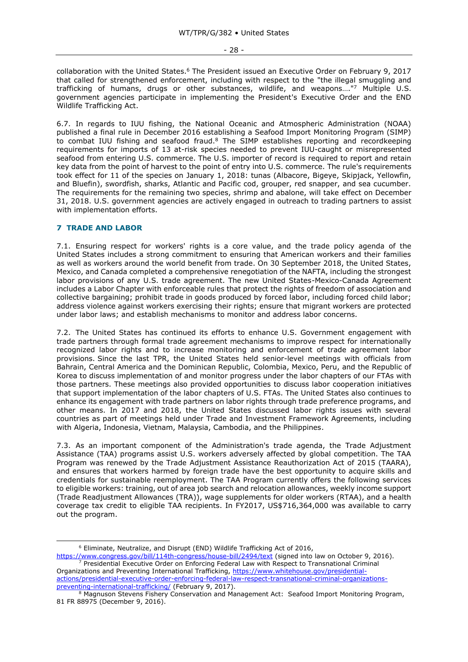collaboration with the United States.<sup>6</sup> The President issued an Executive Order on February 9, 2017 that called for strengthened enforcement, including with respect to the "the illegal smuggling and trafficking of humans, drugs or other substances, wildlife, and weapons…." <sup>7</sup> Multiple U.S. government agencies participate in implementing the President's Executive Order and the END Wildlife Trafficking Act.

6.7. In regards to IUU fishing, the National Oceanic and Atmospheric Administration (NOAA) published a final rule in December 2016 establishing a Seafood Import Monitoring Program (SIMP) to combat IUU fishing and seafood fraud.<sup>8</sup> The SIMP establishes reporting and recordkeeping requirements for imports of 13 at-risk species needed to prevent IUU-caught or misrepresented seafood from entering U.S. commerce. The U.S. importer of record is required to report and retain key data from the point of harvest to the point of entry into U.S. commerce. The rule's requirements took effect for 11 of the species on January 1, 2018: tunas (Albacore, Bigeye, Skipjack, Yellowfin, and Bluefin), swordfish, sharks, Atlantic and Pacific cod, grouper, red snapper, and sea cucumber. The requirements for the remaining two species, shrimp and abalone, will take effect on December 31, 2018. U.S. government agencies are actively engaged in outreach to trading partners to assist with implementation efforts.

# <span id="page-27-0"></span>**7 TRADE AND LABOR**

7.1. Ensuring respect for workers' rights is a core value, and the trade policy agenda of the United States includes a strong commitment to ensuring that American workers and their families as well as workers around the world benefit from trade. On 30 September 2018, the United States, Mexico, and Canada completed a comprehensive renegotiation of the NAFTA, including the strongest labor provisions of any U.S. trade agreement. The new United States-Mexico-Canada Agreement includes a Labor Chapter with enforceable rules that protect the rights of freedom of association and collective bargaining; prohibit trade in goods produced by forced labor, including forced child labor; address violence against workers exercising their rights; ensure that migrant workers are protected under labor laws; and establish mechanisms to monitor and address labor concerns.

7.2. The United States has continued its efforts to enhance U.S. Government engagement with trade partners through formal trade agreement mechanisms to improve respect for internationally recognized labor rights and to increase monitoring and enforcement of trade agreement labor provisions. Since the last TPR, the United States held senior-level meetings with officials from Bahrain, Central America and the Dominican Republic, Colombia, Mexico, Peru, and the Republic of Korea to discuss implementation of and monitor progress under the labor chapters of our FTAs with those partners. These meetings also provided opportunities to discuss labor cooperation initiatives that support implementation of the labor chapters of U.S. FTAs. The United States also continues to enhance its engagement with trade partners on labor rights through trade preference programs, and other means. In 2017 and 2018, the United States discussed labor rights issues with several countries as part of meetings held under Trade and Investment Framework Agreements, including with Algeria, Indonesia, Vietnam, Malaysia, Cambodia, and the Philippines.

7.3. As an important component of the Administration's trade agenda, the Trade Adjustment Assistance (TAA) programs assist U.S. workers adversely affected by global competition. The TAA Program was renewed by the Trade Adjustment Assistance Reauthorization Act of 2015 (TAARA), and ensures that workers harmed by foreign trade have the best opportunity to acquire skills and credentials for sustainable reemployment. The TAA Program currently offers the following services to eligible workers: training, out of area job search and relocation allowances, weekly income support (Trade Readjustment Allowances (TRA)), wage supplements for older workers (RTAA), and a health coverage tax credit to eligible TAA recipients. In FY2017, US\$716,364,000 was available to carry out the program.

<sup>-</sup><sup>6</sup> Eliminate, Neutralize, and Disrupt (END) Wildlife Trafficking Act of 2016,

<https://www.congress.gov/bill/114th-congress/house-bill/2494/text> (signed into law on October 9, 2016). <sup>7</sup> Presidential Executive Order on Enforcing Federal Law with Respect to Transnational Criminal

Organizations and Preventing International Trafficking, [https://www.whitehouse.gov/presidential](https://www.whitehouse.gov/presidential-actions/presidential-executive-order-enforcing-federal-law-respect-transnational-criminal-organizations-preventing-international-trafficking/)[actions/presidential-executive-order-enforcing-federal-law-respect-transnational-criminal-organizations](https://www.whitehouse.gov/presidential-actions/presidential-executive-order-enforcing-federal-law-respect-transnational-criminal-organizations-preventing-international-trafficking/)[preventing-international-trafficking/](https://www.whitehouse.gov/presidential-actions/presidential-executive-order-enforcing-federal-law-respect-transnational-criminal-organizations-preventing-international-trafficking/) (February 9, 2017).

<sup>&</sup>lt;sup>8</sup> Magnuson Stevens Fishery Conservation and Management Act: Seafood Import Monitoring Program, 81 FR 88975 (December 9, 2016).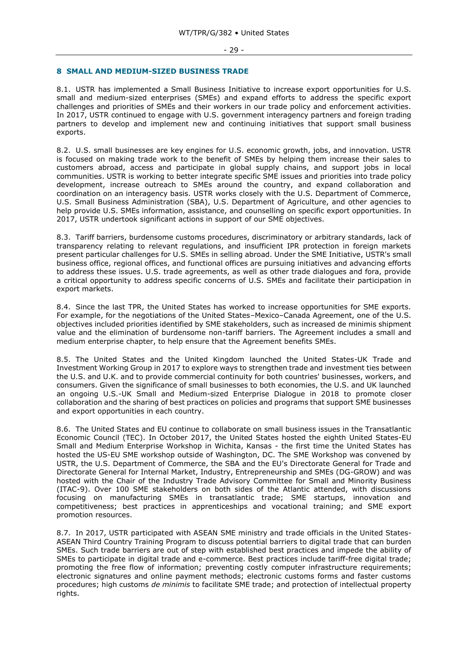#### - 29 -

#### <span id="page-28-0"></span>**8 SMALL AND MEDIUM-SIZED BUSINESS TRADE**

8.1. USTR has implemented a Small Business Initiative to increase export opportunities for U.S. small and medium-sized enterprises (SMEs) and expand efforts to address the specific export challenges and priorities of SMEs and their workers in our trade policy and enforcement activities. In 2017, USTR continued to engage with U.S. government interagency partners and foreign trading partners to develop and implement new and continuing initiatives that support small business exports.

8.2. U.S. small businesses are key engines for U.S. economic growth, jobs, and innovation. USTR is focused on making trade work to the benefit of SMEs by helping them increase their sales to customers abroad, access and participate in global supply chains, and support jobs in local communities. USTR is working to better integrate specific SME issues and priorities into trade policy development, increase outreach to SMEs around the country, and expand collaboration and coordination on an interagency basis. USTR works closely with the U.S. Department of Commerce, U.S. Small Business Administration (SBA), U.S. Department of Agriculture, and other agencies to help provide U.S. SMEs information, assistance, and counselling on specific export opportunities. In 2017, USTR undertook significant actions in support of our SME objectives.

8.3. Tariff barriers, burdensome customs procedures, discriminatory or arbitrary standards, lack of transparency relating to relevant regulations, and insufficient IPR protection in foreign markets present particular challenges for U.S. SMEs in selling abroad. Under the SME Initiative, USTR's small business office, regional offices, and functional offices are pursuing initiatives and advancing efforts to address these issues. U.S. trade agreements, as well as other trade dialogues and fora, provide a critical opportunity to address specific concerns of U.S. SMEs and facilitate their participation in export markets.

8.4. Since the last TPR, the United States has worked to increase opportunities for SME exports. For example, for the negotiations of the United States–Mexico–Canada Agreement, one of the U.S. objectives included priorities identified by SME stakeholders, such as increased de minimis shipment value and the elimination of burdensome non-tariff barriers. The Agreement includes a small and medium enterprise chapter, to help ensure that the Agreement benefits SMEs.

8.5. The United States and the United Kingdom launched the United States-UK Trade and Investment Working Group in 2017 to explore ways to strengthen trade and investment ties between the U.S. and U.K. and to provide commercial continuity for both countries' businesses, workers, and consumers. Given the significance of small businesses to both economies, the U.S. and UK launched an ongoing U.S.-UK Small and Medium-sized Enterprise Dialogue in 2018 to promote closer collaboration and the sharing of best practices on policies and programs that support SME businesses and export opportunities in each country.

8.6. The United States and EU continue to collaborate on small business issues in the Transatlantic Economic Council (TEC). In October 2017, the United States hosted the eighth United States-EU Small and Medium Enterprise Workshop in Wichita, Kansas - the first time the United States has hosted the US-EU SME workshop outside of Washington, DC. The SME Workshop was convened by USTR, the U.S. Department of Commerce, the SBA and the EU's Directorate General for Trade and Directorate General for Internal Market, Industry, Entrepreneurship and SMEs (DG-GROW) and was hosted with the Chair of the Industry Trade Advisory Committee for Small and Minority Business (ITAC-9). Over 100 SME stakeholders on both sides of the Atlantic attended, with discussions focusing on manufacturing SMEs in transatlantic trade; SME startups, innovation and competitiveness; best practices in apprenticeships and vocational training; and SME export promotion resources.

8.7. In 2017, USTR participated with ASEAN SME ministry and trade officials in the United States-ASEAN Third Country Training Program to discuss potential barriers to digital trade that can burden SMEs. Such trade barriers are out of step with established best practices and impede the ability of SMEs to participate in digital trade and e-commerce. Best practices include tariff-free digital trade; promoting the free flow of information; preventing costly computer infrastructure requirements; electronic signatures and online payment methods; electronic customs forms and faster customs procedures; high customs *de minimis* to facilitate SME trade; and protection of intellectual property rights.